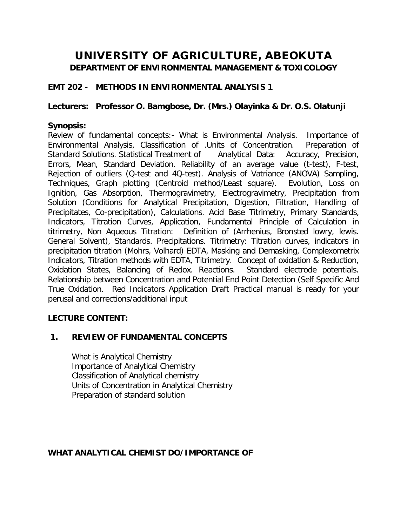# **UNIVERSITY OF AGRICULTURE, ABEOKUTA**

**DEPARTMENT OF ENVIRONMENTAL MANAGEMENT & TOXICOLOGY**

### **EMT 202 - METHODS IN ENVIRONMENTAL ANALYSIS 1**

#### *Lecturers: Professor O. Bamgbose, Dr. (Mrs.) Olayinka & Dr. O.S. Olatunji*

### **Synopsis:**

Review of fundamental concepts:- What is Environmental Analysis. Importance of Environmental Analysis, Classification of .Units of Concentration. Preparation of Standard Solutions. Statistical Treatment of Analytical Data: Accuracy, Precision, Errors, Mean, Standard Deviation. Reliability of an average value (t-test), F-test, Rejection of outliers (Q-test and 4Q-test). Analysis of Vatriance (ANOVA) Sampling, Techniques, Graph plotting (Centroid method/Least square). Evolution, Loss on Ignition, Gas Absorption, Thermogravimetry, Electrogravimetry, Precipitation from Solution (Conditions for Analytical Precipitation, Digestion, Filtration, Handling of Precipitates, Co-precipitation), Calculations. Acid Base Titrimetry, Primary Standards, Indicators, Titration Curves, Application, Fundamental Principle of Calculation in titrimetry, Non Aqueous Titration: Definition of (Arrhenius, Bronsted lowry, lewis. General Solvent), Standards. Precipitations. Titrimetry: Titration curves, indicators in precipitation titration (Mohrs, Volhard) EDTA, Masking and Demasking, Complexometrix Indicators, Titration methods with EDTA, Titrimetry. Concept of oxidation & Reduction, Oxidation States, Balancing of Redox. Reactions. Standard electrode potentials. Relationship between Concentration and Potential End Point Detection (Self Specific And True Oxidation. Red Indicators Application Draft Practical manual is ready for your perusal and corrections/additional input

### **LECTURE CONTENT:**

### **1. REVIEW OF FUNDAMENTAL CONCEPTS**

What is Analytical Chemistry Importance of Analytical Chemistry Classification of Analytical chemistry Units of Concentration in Analytical Chemistry Preparation of standard solution

### **WHAT ANALYTICAL CHEMIST DO/IMPORTANCE OF**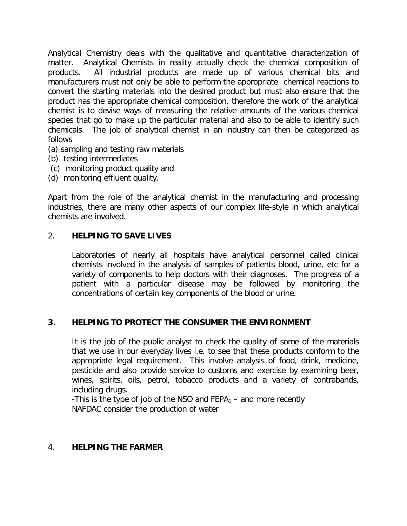Analytical Chemistry deals with the qualitative and quantitative characterization of matter. Analytical Chemists in reality actually check the chemical composition of products. All industrial products are made up of various chemical bits and manufacturers must not only be able to perform the appropriate chemical reactions to convert the starting materials into the desired product but must also ensure that the product has the appropriate chemical composition, therefore the work of the analytical chemist is to devise ways of measuring the relative amounts of the various chemical species that go to make up the particular material and also to be able to identify such chemicals. The job of analytical chemist in an industry can then be categorized as follows

- (a) sampling and testing raw materials
- (b) testing intermediates
- (c) monitoring product quality and
- (d) monitoring effluent quality.

Apart from the role of the analytical chemist in the manufacturing and processing industries, there are many other aspects of our complex life-style in which analytical chemists are involved.

#### 2. **HELPING TO SAVE LIVES**

Laboratories of nearly all hospitals have analytical personnel called clinical chemists involved in the analysis of samples of patients blood, urine, etc for a variety of components to help doctors with their diagnoses. The progress of a patient with a particular disease may be followed by monitoring the concentrations of certain key components of the blood or urine.

#### **3. HELPING TO PROTECT THE CONSUMER THE ENVIRONMENT**

It is the job of the public analyst to check the quality of some of the materials that we use in our everyday lives i.e. to see that these products conform to the appropriate legal requirement. This involve analysis of food, drink, medicine, pesticide and also provide service to customs and exercise by examining beer, wines, spirits, oils, petrol, tobacco products and a variety of contrabands, including drugs.

-This is the type of job of the NSO and  $FEPA<sub>1</sub>$  – and more recently NAFDAC consider the production of water

#### 4. **HELPING THE FARMER**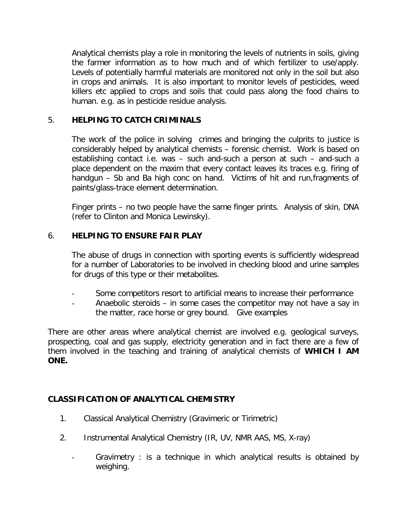Analytical chemists play a role in monitoring the levels of nutrients in soils, giving the farmer information as to how much and of which fertilizer to use/apply. Levels of potentially harmful materials are monitored not only in the soil but also in crops and animals. It is also important to monitor levels of pesticides, weed killers etc applied to crops and soils that could pass along the food chains to human. e.g. as in pesticide residue analysis.

### 5. **HELPING TO CATCH CRIMINALS**

The work of the police in solving crimes and bringing the culprits to justice is considerably helped by analytical chemists – forensic chemist. Work is based on establishing contact i.e. was – such and-such a person at such – and-such a place dependent on the maxim that every contact leaves its traces e.g. firing of handgun – Sb and Ba high conc on hand. Victims of hit and run,fragments of paints/glass-trace element determination.

Finger prints – no two people have the same finger prints. Analysis of skin, DNA (refer to Clinton and Monica Lewinsky).

### 6. **HELPING TO ENSURE FAIR PLAY**

The abuse of drugs in connection with sporting events is sufficiently widespread for a number of Laboratories to be involved in checking blood and urine samples for drugs of this type or their metabolites.

- Some competitors resort to artificial means to increase their performance
- Anaebolic steroids in some cases the competitor may not have a say in the matter, race horse or grey bound. Give examples

There are other areas where analytical chemist are involved e.g. geological surveys, prospecting, coal and gas supply, electricity generation and in fact there are a few of them involved in the teaching and training of analytical chemists of **WHICH I AM ONE.**

## **CLASSIFICATION OF ANALYTICAL CHEMISTRY**

- 1. Classical Analytical Chemistry (Gravimeric or Tirimetric)
- 2. Instrumental Analytical Chemistry (IR, UV, NMR AAS, MS, X-ray)
	- Gravimetry : is a technique in which analytical results is obtained by weighing.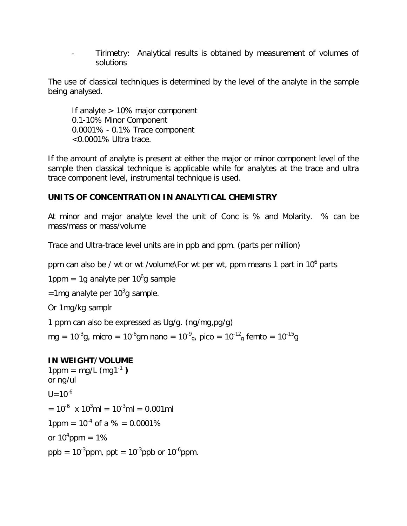- Tirimetry: Analytical results is obtained by measurement of volumes of solutions

The use of classical techniques is determined by the level of the analyte in the sample being analysed.

If analyte > 10% major component 0.1-10% Minor Component 0.0001% - 0.1% Trace component <0.0001% Ultra trace.

If the amount of analyte is present at either the major or minor component level of the sample then classical technique is applicable while for analytes at the trace and ultra trace component level, instrumental technique is used.

## **UNITS OF CONCENTRATION IN ANALYTICAL CHEMISTRY**

At minor and major analyte level the unit of Conc is % and Molarity. % can be mass/mass or mass/volume

Trace and Ultra-trace level units are in ppb and ppm. (parts per million)

ppm can also be / wt or wt /volume\For wt per wt, ppm means 1 part in 10<sup>6</sup> parts

1ppm = 1g analyte per 10 $^6$ g sample

=1mg analyte per 10<sup>3</sup>g sample.

Or 1mg/kg samplr

1 ppm can also be expressed as Ug/g. (ng/mg,pg/g)

mg = 10<sup>-3</sup>g, micro = 10<sup>-6</sup>gm nano = 10<sup>-9</sup><sub>g</sub>, pico = 10<sup>-12</sup><sub>g</sub> femto = 10<sup>-15</sup>g

## **IN WEIGHT/VOLUME**

 $1$ ppm = mg/L (mg1<sup>-1</sup>) or ng/ul  $11=10^{-6}$  $= 10^{-6}$  x 10<sup>3</sup>ml = 10<sup>-3</sup>ml = 0.001ml 1ppm =  $10^{-4}$  of a % = 0.0001% or 10<sup>4</sup>ppm = 1% ppb =  $10^{-3}$ ppm, ppt =  $10^{-3}$ ppb or  $10^{-6}$ ppm.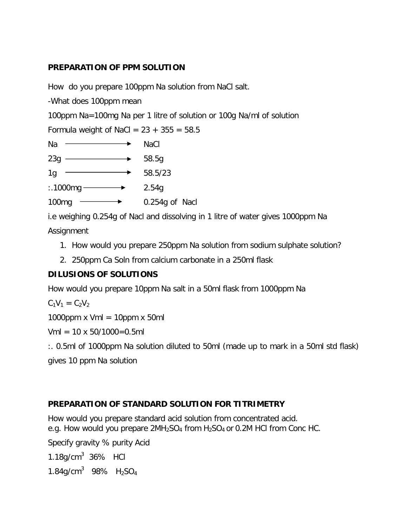### **PREPARATION OF PPM SOLUTION**

How do you prepare 100ppm Na solution from NaCl salt.

-What does 100ppm mean

100ppm Na=100mg Na per 1 litre of solution or 100g Na/ml of solution

Formula weight of NaCl =  $23 + 355 = 58.5$ 

| Na  | <b>NaCl</b> |
|-----|-------------|
| 23g | 58.5g       |
|     |             |

1g  $\longrightarrow$  58.5/23

 $: .1000mg \longrightarrow 2.54g$ 

 $100mg \rightarrow 0.254g$  of Nacl

i.e weighing 0.254g of Nacl and dissolving in 1 litre of water gives 1000ppm Na

**Assignment** 

- 1. How would you prepare 250ppm Na solution from sodium sulphate solution?
- 2. 250ppm Ca Soln from calcium carbonate in a 250ml flask

## **DILUSIONS OF SOLUTIONS**

How would you prepare 10ppm Na salt in a 50ml flask from 1000ppm Na

 $C_1V_1 = C_2V_2$ 

1000ppm  $x$  Vml = 10ppm  $x$  50ml

 $Vml = 10 \times 50/1000 = 0.5ml$ 

:. 0.5ml of 1000ppm Na solution diluted to 50ml (made up to mark in a 50ml std flask)

gives 10 ppm Na solution

## **PREPARATION OF STANDARD SOLUTION FOR TITRIMETRY**

How would you prepare standard acid solution from concentrated acid. e.g. How would you prepare  $2MH<sub>2</sub>SO<sub>4</sub>$  from  $H<sub>2</sub>SO<sub>4</sub>$  or 0.2M HCl from Conc HC.

Specify gravity % purity Acid

 $1.18$ g/cm $3.36\%$  HCl

1.84g/cm<sup>3</sup> 98%  $H_2SO_4$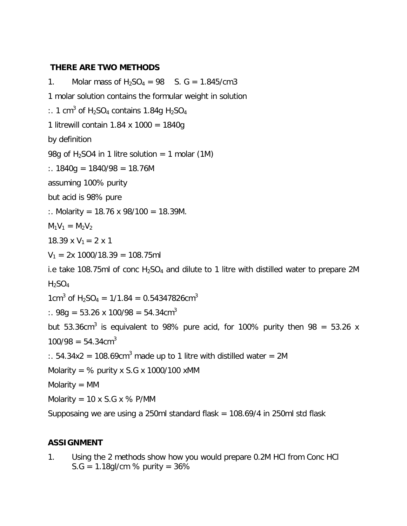#### **THERE ARE TWO METHODS**

1. Molar mass of  $H_2SO_4 = 98$  S. G = 1.845/cm3 1 molar solution contains the formular weight in solution :. 1 cm<sup>3</sup> of H<sub>2</sub>SO<sub>4</sub> contains 1.84g H<sub>2</sub>SO<sub>4</sub> 1 litrewill contain 1.84 x 1000 = 1840g by definition 98g of  $H_2$ SO4 in 1 litre solution = 1 molar (1M) :.  $1840g = 1840/98 = 18.76M$ assuming 100% purity but acid is 98% pure :. Molarity = 18.76 x 98/100 = 18.39M.  $M_1V_1 = M_2V_2$ 18.39 x  $V_1 = 2$  x 1  $V_1 = 2x 1000/18.39 = 108.75$ ml i.e take 108.75ml of conc  $H_2SO_4$  and dilute to 1 litre with distilled water to prepare 2M  $H_2SO_4$ 1cm<sup>3</sup> of H<sub>2</sub>SO<sub>4</sub> = 1/1.84 = 0.54347826cm<sup>3</sup>  $\therefore$  98g = 53.26 x 100/98 = 54.34cm<sup>3</sup> but 53.36cm<sup>3</sup> is equivalent to 98% pure acid, for 100% purity then 98 = 53.26 x  $100/98 = 54.34 \text{cm}^3$ :.  $54.34x2 = 108.69cm<sup>3</sup>$  made up to 1 litre with distilled water = 2M Molarity =  $%$  purity x S.G x 1000/100 xMM  $Molarity = MM$ Molarity =  $10 \times S.G \times \%$  P/MM Supposaing we are using a 250ml standard flask = 108.69/4 in 250ml std flask

### **ASSIGNMENT**

1. Using the 2 methods show how you would prepare 0.2M HCl from Conc HCl  $S.G = 1.18$ gl/cm % purity = 36%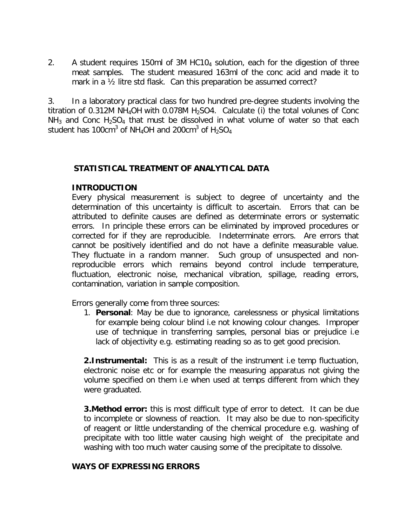2. A student requires 150ml of 3M HC104 solution, each for the digestion of three meat samples. The student measured 163ml of the conc acid and made it to mark in a ½ litre std flask. Can this preparation be assumed correct?

3. In a laboratory practical class for two hundred pre-degree students involving the titration of 0.312M NH<sub>4</sub>OH with 0.078M H<sub>2</sub>SO4. Calculate (i) the total volunes of Conc  $NH<sub>3</sub>$  and Conc H<sub>2</sub>SO<sub>4</sub> that must be dissolved in what volume of water so that each student has 100cm $^3$  of NH<sub>4</sub>OH and 200cm $^3$  of H<sub>2</sub>SO<sub>4</sub>

#### *STATISTICAL TREATMENT OF ANALYTICAL DATA*

#### **INTRODUCTION**

Every physical measurement is subject to degree of uncertainty and the determination of this uncertainty is difficult to ascertain. Errors that can be attributed to definite causes are defined as determinate errors or systematic errors. In principle these errors can be eliminated by improved procedures or corrected for if they are reproducible. Indeterminate errors. Are errors that cannot be positively identified and do not have a definite measurable value. They fluctuate in a random manner. Such group of unsuspected and nonreproducible errors which remains beyond control include temperature, fluctuation, electronic noise, mechanical vibration, spillage, reading errors, contamination, variation in sample composition.

Errors generally come from three sources:

1. **Personal**: May be due to ignorance, carelessness or physical limitations for example being colour blind i.e not knowing colour changes. Improper use of technique in transferring samples, personal bias or prejudice i.e lack of objectivity e.g. estimating reading so as to get good precision.

**2.Instrumental:** This is as a result of the instrument i.e temp fluctuation, electronic noise etc or for example the measuring apparatus not giving the volume specified on them i.e when used at temps different from which they were graduated.

**3. Method error:** this is most difficult type of error to detect. It can be due to incomplete or slowness of reaction. It may also be due to non-specificity of reagent or little understanding of the chemical procedure e.g. washing of precipitate with too little water causing high weight of the precipitate and washing with too much water causing some of the precipitate to dissolve.

#### **WAYS OF EXPRESSING ERRORS**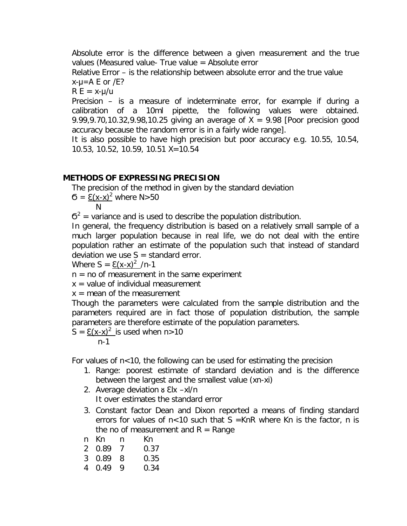Absolute error is the difference between a given measurement and the true values (Measured value- True value = Absolute error

Relative Error – is the relationship between absolute error and the true value  $x-y=A E$  or  $/E$ ?

 $R E = x - \mu/u$ 

Precision – is a measure of indeterminate error, for example if during a calibration of a 10ml pipette, the following values were obtained. 9.99,9.70,10.32,9.98,10.25 giving an average of  $X = 9.98$  [Poor precision good accuracy because the random error is in a fairly wide range].

It is also possible to have high precision but poor accuracy e.g. 10.55, 10.54, 10.53, 10.52, 10.59, 10.51 X=10.54

### **METHODS OF EXPRESSING PRECISION**

The precision of the method in given by the standard deviation

 $σ = E(x-x)^2$  where N>50

N

 $6^2$  = variance and is used to describe the population distribution.

In general, the frequency distribution is based on a relatively small sample of a much larger population because in real life, we do not deal with the entire population rather an estimate of the population such that instead of standard deviation we use  $S =$  standard error.

Where  $S = \mathsf{E}(x-x)^2 /n-1$ 

 $n = no$  of measurement in the same experiment

 $x =$  value of individual measurement

 $x =$  mean of the measurement

Though the parameters were calculated from the sample distribution and the parameters required are in fact those of population distribution, the sample parameters are therefore estimate of the population parameters.

 $S = \mathsf{E}(x-x)^2$  is used when n>10

n-1

For values of  $n < 10$ , the following can be used for estimating the precision

- 1. Range: poorest estimate of standard deviation and is the difference between the largest and the smallest value (xn-xi)
- 2. Average deviation & Elx -xl/n It over estimates the standard error
- 3. Constant factor Dean and Dixon reported a means of finding standard errors for values of  $n < 10$  such that S = KnR where Kn is the factor, n is the no of measurement and  $R =$  Range
- n Kn n Kn

2 0.89 7 0.37

3 0.89 8 0.35

4 0.49 9 0.34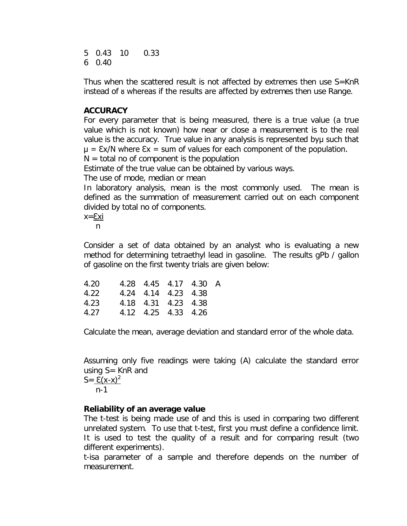5 0.43 10 0.33 6 0.40

Thus when the scattered result is not affected by extremes then use S=KnR instead of & whereas if the results are affected by extremes then use Range.

#### **ACCURACY**

For every parameter that is being measured, there is a true value (a true value which is not known) how near or close a measurement is to the real value is the accuracy. True value in any analysis is represented byu such that  $\mu = \frac{\epsilon x}{N}$  where  $\epsilon x = \epsilon x$  of values for each component of the population.

 $N =$  total no of component is the population

Estimate of the true value can be obtained by various ways.

The use of mode, median or mean

In laboratory analysis, mean is the most commonly used. The mean is defined as the summation of measurement carried out on each component divided by total no of components.

x=Ɛxi

n

Consider a set of data obtained by an analyst who is evaluating a new method for determining tetraethyl lead in gasoline. The results gPb / gallon of gasoline on the first twenty trials are given below:

| 4.20 |  | 4.28 4.45 4.17 4.30 A |  |
|------|--|-----------------------|--|
| 4.22 |  | 4.24 4.14 4.23 4.38   |  |
| 4.23 |  | 4.18 4.31 4.23 4.38   |  |
| 4.27 |  | 4.12 4.25 4.33 4.26   |  |

Calculate the mean, average deviation and standard error of the whole data.

Assuming only five readings were taking (A) calculate the standard error using  $S =$  KnR and  $S = E(x-x)^2$ n-1

### **Reliability of an average value**

The t-test is being made use of and this is used in comparing two different unrelated system. To use that t-test, first you must define a confidence limit. It is used to test the quality of a result and for comparing result (two different experiments).

t-isa parameter of a sample and therefore depends on the number of measurement.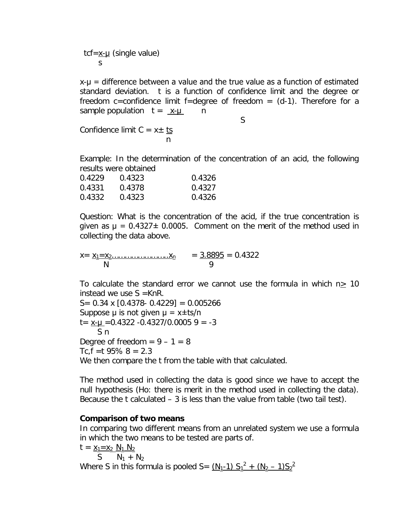tcf= $x$ - $\mu$  (single value) s

x-µ = difference between a value and the true value as a function of estimated standard deviation. t is a function of confidence limit and the degree or freedom c=confidence limit f=degree of freedom =  $(d-1)$ . Therefore for a sample population  $t = x-y$  n

S

Confidence limit  $C = x \pm \underline{ts}$ na ang pangalang na pangalang na

Example: In the determination of the concentration of an acid, the following results were obtained

| 0.4229 | 0.4323 | 0.4326 |
|--------|--------|--------|
| 0.4331 | 0.4378 | 0.4327 |
| 0.4332 | 0.4323 | 0.4326 |

Question: What is the concentration of the acid, if the true concentration is given as  $\mu = 0.4327 \pm 0.0005$ . Comment on the merit of the method used in collecting the data above.

 $x = x_{1} = x_{2} \dots \dots \dots \dots \dots \dots x_{n} = 3.8895 = 0.4322$ N 9

To calculate the standard error we cannot use the formula in which  $n \geq 10$ instead we use  $S = KnR$ .

 $S = 0.34 \times [0.4378 - 0.4229] = 0.005266$ Suppose  $\mu$  is not given  $\mu = x \pm ts/n$  $t = x-y = 0.4322 - 0.4327/0.0005$  9 = -3 S n Degree of freedom  $= 9 - 1 = 8$ Tc,  $f = t$  95%  $8 = 2.3$ We then compare the t from the table with that calculated.

The method used in collecting the data is good since we have to accept the null hypothesis (Ho: there is merit in the method used in collecting the data). Because the t calculated – 3 is less than the value from table (two tail test).

#### **Comparison of two means**

In comparing two different means from an unrelated system we use a formula in which the two means to be tested are parts of.

 $t = x_1 = x_2 N_1 N_2$ S  $N_1 + N_2$ Where S in this formula is pooled S=  $(\underline{N_1-1}) S_1^2 + (\underline{N_2-1}) S_2^2$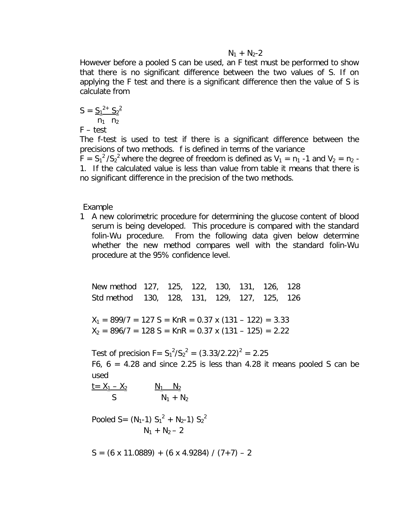$N_1 + N_2 - 2$ 

However before a pooled S can be used, an F test must be performed to show that there is no significant difference between the two values of S. If on applying the F test and there is a significant difference then the value of S is calculate from

$$
S = \frac{S_1^{2+} S_2^{2}}{n_1 \cdot n_2}
$$

F – test

The f-test is used to test if there is a significant difference between the precisions of two methods. f is defined in terms of the variance

 $F = S_1^2 / S_2^2$  where the degree of freedom is defined as  $V_1 = n_1$  -1 and  $V_2 = n_2$ . 1. If the calculated value is less than value from table it means that there is no significant difference in the precision of the two methods.

Example

1 A new colorimetric procedure for determining the glucose content of blood serum is being developed. This procedure is compared with the standard folin-Wu procedure. From the following data given below determine whether the new method compares well with the standard folin-Wu procedure at the 95% confidence level.

New method 127, 125, 122, 130, 131, 126, 128 Std method 130, 128, 131, 129, 127, 125, 126

 $X_1 = 899/7 = 127$  S = KnR = 0.37 x (131 – 122) = 3.33  $X_2 = 896/7 = 128 S = KnR = 0.37 x (131 - 125) = 2.22$ 

Test of precision  $F = S_1^2 / S_2^2 = (3.33/2.22)^2 = 2.25$ F6,  $6 = 4.28$  and since 2.25 is less than 4.28 it means pooled S can be used

 $t = X_1 - X_2$   $N_1$   $N_2$  $S$   $N_1 + N_2$ 

Pooled S =  $(N_1-1) S_1^2 + N_2-1) S_2^2$  $N_1 + N_2 - 2$ 

 $S = (6 \times 11.0889) + (6 \times 4.9284) / (7 + 7) - 2$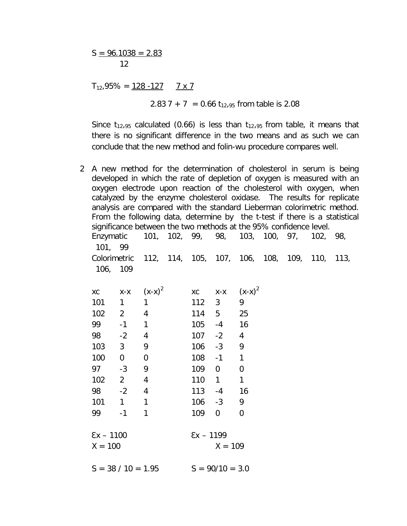$S = 96.1038 = 2.83$ 12

 $T_{12}$ ,95% = <u>128 -127</u> 7 x 7

2.83 7 + 7 = 0.66  $t_{12,95}$  from table is 2.08

Since  $t_{12,95}$  calculated (0.66) is less than  $t_{12,95}$  from table, it means that there is no significant difference in the two means and as such we can conclude that the new method and folin-wu procedure compares well.

2 A new method for the determination of cholesterol in serum is being developed in which the rate of depletion of oxygen is measured with an oxygen electrode upon reaction of the cholesterol with oxygen, when catalyzed by the enzyme cholesterol oxidase. The results for replicate analysis are compared with the standard Lieberman colorimetric method. From the following data, determine by the t-test if there is a statistical significance between the two methods at the 95% confidence level. Enzymatic 101, 102, 99, 98, 103, 100, 97, 102, 98, 101, 99 Colorimetric 112, 114, 105, 107, 106, 108, 109, 110, 113, 106, 109 xc  $x-x$   $(x-x)^2$ xc  $x-x$   $(x-x)^2$ 101 1 1 112 3 9 102 2 4 114 5 25 99 -1 1 105 -4 16 98 -2 4 107 -2 4 103 3 9 106 -3 9 100 0 0 108 -1 1 97 -3 9 109 0 0 102 2 4 110 1 1 98 -2 4 113 -4 16 101 1 1 106 -3 9 99 -1 1 109 0 0  $\sum x - 1100$   $\sum x - 1199$  $X = 100$   $X = 109$ 

 $S = 38 / 10 = 1.95$   $S = 90/10 = 3.0$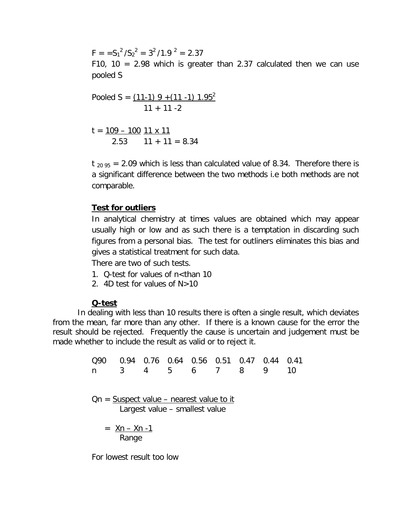$F = S_1^2 / S_2^2 = 3^2 / 1.9^2 = 2.37$ F10, 10 = 2.98 which is greater than 2.37 calculated then we can use pooled S

Pooled S = 
$$
\frac{(11-1) 9 + (11 - 1) 1.95^2}{11 + 11 - 2}
$$

 $t = 109 - 100$  11 x 11 2.53  $11 + 11 = 8.34$ 

 $t_{20,95}$  = 2.09 which is less than calculated value of 8.34. Therefore there is a significant difference between the two methods i.e both methods are not comparable.

#### **Test for outliers**

In analytical chemistry at times values are obtained which may appear usually high or low and as such there is a temptation in discarding such figures from a personal bias. The test for outliners eliminates this bias and gives a statistical treatment for such data.

There are two of such tests.

- 1. Q-test for values of n<than 10
- 2. 4D test for values of N>10

#### **Q-test**

In dealing with less than 10 results there is often a single result, which deviates from the mean, far more than any other. If there is a known cause for the error the result should be rejected. Frequently the cause is uncertain and judgement must be made whether to include the result as valid or to reject it.

> Q90 0.94 0.76 0.64 0.56 0.51 0.47 0.44 0.41 n 3 4 5 6 7 8 9 10 Qn = Suspect value – nearest value to it Largest value – smallest value  $=$  Xn – Xn -1 Range

For lowest result too low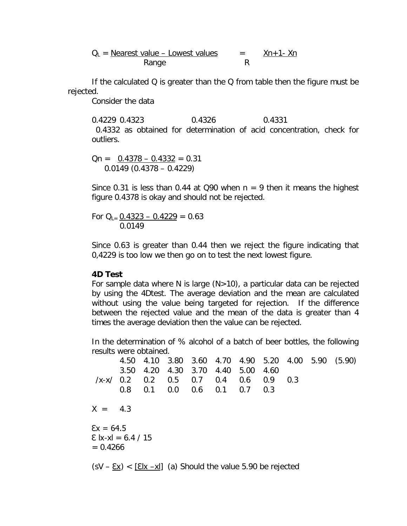$$
Q_L = \frac{Nearest value - Lowest values}{Range} = \frac{Xn + 1 - Xn}{R}
$$

If the calculated Q is greater than the Q from table then the figure must be rejected.

Consider the data

0.4229 0.4323 0.4326 0.4331 0.4332 as obtained for determination of acid concentration, check for outliers.

 $Qn = 0.4378 - 0.4332 = 0.31$  $0.0149$  (0.4378 – 0.4229)

Since 0.31 is less than 0.44 at Q90 when  $n = 9$  then it means the highest figure 0.4378 is okay and should not be rejected.

For  $Q_{L} = 0.4323 - 0.4229 = 0.63$ 0.0149

Since 0.63 is greater than 0.44 then we reject the figure indicating that 0,4229 is too low we then go on to test the next lowest figure.

#### **4D Test**

For sample data where N is large  $(N>10)$ , a particular data can be rejected by using the 4Dtest. The average deviation and the mean are calculated without using the value being targeted for rejection. If the difference between the rejected value and the mean of the data is greater than 4 times the average deviation then the value can be rejected.

In the determination of % alcohol of a batch of beer bottles, the following results were obtained.

4.50 4.10 3.80 3.60 4.70 4.90 5.20 4.00 5.90 (5.90) 3.50 4.20 4.30 3.70 4.40 5.00 4.60 /x-x/ 0.2 0.2 0.5 0.7 0.4 0.6 0.9 0.3 0.8 0.1 0.0 0.6 0.1 0.7 0.3  $X = 4.3$  $Ex = 64.5$  $\sum$  |x-x| = 6.4 / 15  $= 0.4266$  $(SV - \underline{Ex})$  <  $[\underline{Elx -xI}]$  (a) Should the value 5.90 be rejected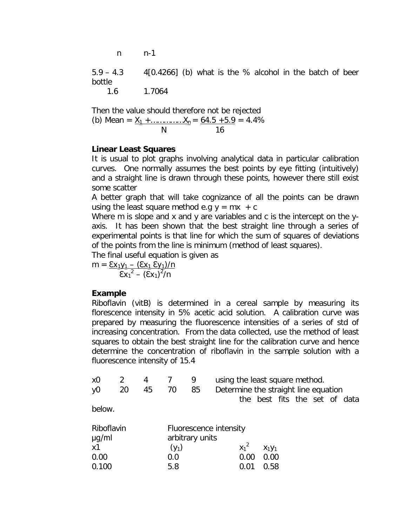n n-1

5.9 – 4.3 4[0.4266] (b) what is the % alcohol in the batch of beer bottle

1.6 1.7064

Then the value should therefore not be rejected (b) Mean = X<sup>1</sup> +……………X<sup>n</sup> = 64.5 +5.9 = 4.4% N 16

#### **Linear Least Squares**

It is usual to plot graphs involving analytical data in particular calibration curves. One normally assumes the best points by eye fitting (intuitively) and a straight line is drawn through these points, however there still exist some scatter

A better graph that will take cognizance of all the points can be drawn using the least square method e.g  $y = mx + c$ 

Where m is slope and x and y are variables and c is the intercept on the yaxis. It has been shown that the best straight line through a series of experimental points is that line for which the sum of squares of deviations of the points from the line is minimum (method of least squares).

The final useful equation is given as

$$
m = \frac{\sum y_1 - (\sum x_1 \sum y_1)/n}{\sum x_1^2 - (\sum x_1)^2/n}
$$

#### **Example**

Riboflavin (vitB) is determined in a cereal sample by measuring its florescence intensity in 5% acetic acid solution. A calibration curve was prepared by measuring the fluorescence intensities of a series of std of increasing concentration. From the data collected, use the method of least squares to obtain the best straight line for the calibration curve and hence determine the concentration of riboflavin in the sample solution with a fluorescence intensity of 15.4

| x <sub>0</sub> | 2  | 4  |                 | 9  | using the least square method.       |         |                               |  |  |  |
|----------------|----|----|-----------------|----|--------------------------------------|---------|-------------------------------|--|--|--|
| y <sub>0</sub> | 20 | 45 | 70              | 85 | Determine the straight line equation |         |                               |  |  |  |
|                |    |    |                 |    |                                      |         | the best fits the set of data |  |  |  |
| below.         |    |    |                 |    |                                      |         |                               |  |  |  |
| Riboflavin     |    |    |                 |    | Fluorescence intensity               |         |                               |  |  |  |
| $\mu$ g/ml     |    |    | arbitrary units |    |                                      |         |                               |  |  |  |
| x1             |    |    | $(y_1)$         |    |                                      | $X_1^2$ | $X_1Y_1$                      |  |  |  |
| 0.00           |    |    | 0.0             |    |                                      | 0.00    | 0.00                          |  |  |  |
| 0.100          |    |    | 5.8             |    |                                      | 0.01    | 0.58                          |  |  |  |
|                |    |    |                 |    |                                      |         |                               |  |  |  |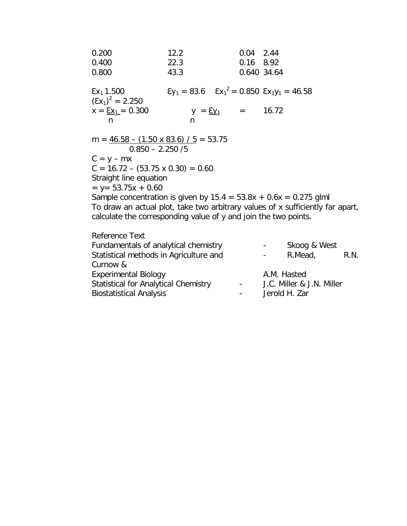| 0.200<br>0.400<br>0.800                                                                                                                                                                                                  | 12.2<br>22.3<br>43.3                                                      | $0.04$ 2.44<br>0.16 8.92 | 0.640 34.64                                                   |      |
|--------------------------------------------------------------------------------------------------------------------------------------------------------------------------------------------------------------------------|---------------------------------------------------------------------------|--------------------------|---------------------------------------------------------------|------|
| $\sum x_1$ 1.500<br>$(\Sigma x_1)^2 = 2.250$                                                                                                                                                                             | $\epsilon y_1 = 83.6$ $\epsilon x_1^2 = 0.850$ $\epsilon x_1 y_1 = 46.58$ |                          |                                                               |      |
| $x = \underline{Ex_1} = 0.300$<br>n                                                                                                                                                                                      | $y = \underline{\xi}y_1 =$<br>n                                           |                          | 16.72                                                         |      |
| m = $\frac{46.58 - (1.50 \times 83.6)}{5}$ = 53.75<br>$0.850 - 2.250 / 5$                                                                                                                                                |                                                                           |                          |                                                               |      |
| $C = y - mx$<br>$C = 16.72 - (53.75 \times 0.30) = 0.60$                                                                                                                                                                 |                                                                           |                          |                                                               |      |
| Straight line equation<br>$y = 53.75x + 0.60$                                                                                                                                                                            |                                                                           |                          |                                                               |      |
| Sample concentration is given by $15.4 = 53.8x + 0.6x = 0.275$ glml<br>To draw an actual plot, take two arbitrary values of x sufficiently far apart,<br>calculate the corresponding value of y and join the two points. |                                                                           |                          |                                                               |      |
| Reference Text<br>Fundamentals of analytical chemistry                                                                                                                                                                   |                                                                           |                          | Skoog & West<br>$\bullet$ - $\bullet$ - $\bullet$ - $\bullet$ |      |
| Statistical methods in Agriculture and                                                                                                                                                                                   |                                                                           |                          | R.Mead,                                                       | R.N. |

| Curnow &                             |                 |                           |
|--------------------------------------|-----------------|---------------------------|
| Experimental Biology                 |                 | A.M. Hasted               |
| Statistical for Analytical Chemistry | $\sim 100$      | J.C. Miller & J.N. Miller |
| Biostatistical Analysis              | $\sim$ 10 $\pm$ | Jerold H. Zar             |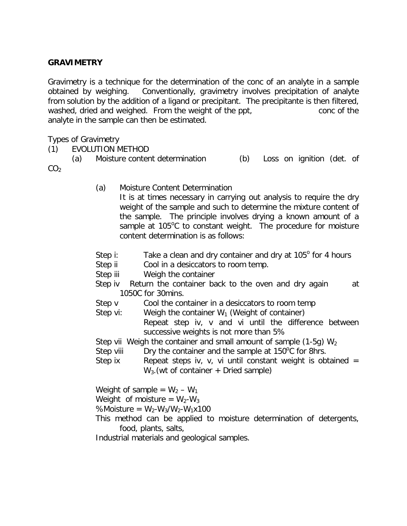#### **GRAVIMETRY**

Gravimetry is a technique for the determination of the conc of an analyte in a sample obtained by weighing. Conventionally, gravimetry involves precipitation of analyte from solution by the addition of a ligand or precipitant. The precipitante is then filtered, washed, dried and weighed. From the weight of the ppt, conc of the analyte in the sample can then be estimated.

Types of Gravimetry

(1) EVOLUTION METHOD

(a) Moisture content determination (b) Loss on ignition (det. of  $CO<sub>2</sub>$ 

- (a) Moisture Content Determination It is at times necessary in carrying out analysis to require the dry weight of the sample and such to determine the mixture content of the sample. The principle involves drying a known amount of a sample at  $105^{\circ}$ C to constant weight. The procedure for moisture content determination is as follows:
- Step i: Take a clean and dry container and dry at  $105^{\circ}$  for 4 hours
- Step ii Cool in a desiccators to room temp.
- Step iii Weigh the container
- Step iv Return the container back to the oven and dry again at 1050C for 30mins.
- Step v Cool the container in a desiccators to room temp
- Step vi: Weigh the container  $W_1$  (Weight of container)

Repeat step iv, v and vi until the difference between successive weights is not more than 5%

- Step vii Weigh the container and small amount of sample (1-5g)  $W_2$
- Step viii Dry the container and the sample at  $150^{\circ}$ C for 8hrs.
- Step ix Repeat steps iv, v, vi until constant weight is obtained  $=$  $W_3$ . (wt of container + Dried sample)

Weight of sample =  $W_2 - W_1$ 

Weight of moisture =  $W_2-W_3$ 

%Moisture =  $W_2-W_3/W_2-W_1x100$ 

This method can be applied to moisture determination of detergents, food, plants, salts,

Industrial materials and geological samples.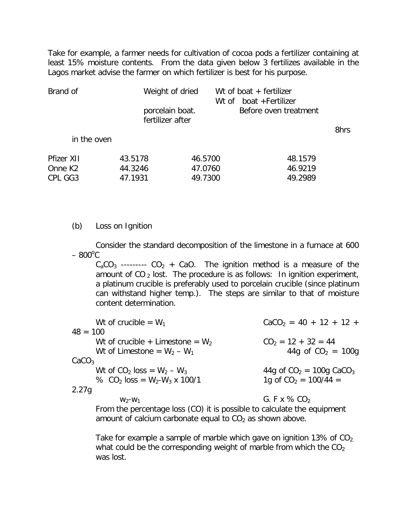Take for example, a farmer needs for cultivation of cocoa pods a fertilizer containing at least 15% moisture contents. From the data given below 3 fertilizes available in the Lagos market advise the farmer on which fertilizer is best for his purpose.

| Brand of            | Weight of dried                     |         | Wt of boat $+$ fertilizer<br>Wt of boat + Fertilizer |      |
|---------------------|-------------------------------------|---------|------------------------------------------------------|------|
|                     | porcelain boat.<br>fertilizer after |         | Before oven treatment                                |      |
|                     |                                     |         |                                                      | 8hrs |
| in the oven         |                                     |         |                                                      |      |
| Pfizer XII          | 43.5178                             | 46.5700 | 48.1579                                              |      |
| Onne K <sub>2</sub> | 44.3246                             | 47.0760 | 46.9219                                              |      |
| CPL GG3             | 47.1931                             | 49.7300 | 49.2989                                              |      |

#### (b) Loss on Ignition

Consider the standard decomposition of the limestone in a furnace at 600  $-800^{\circ}$ C

 $C_2CO_3$  ---------  $CO_2$  + CaO. The ignition method is a measure of the amount of  $CO_2$  lost. The procedure is as follows: In ignition experiment, a platinum crucible is preferably used to porcelain crucible (since platinum can withstand higher temp.). The steps are similar to that of moisture content determination.

| Wt of crucible = $W_1$                     | $CaCO2 = 40 + 12 + 12 +$               |
|--------------------------------------------|----------------------------------------|
| $48 = 100$                                 |                                        |
| Wt of crucible + Limestone = $W_2$         | $CO2 = 12 + 32 = 44$                   |
| Wt of Limestone = $W_2 - W_1$              | 44g of $CO2 = 100q$                    |
| CaCO <sub>3</sub>                          |                                        |
| Wt of CO <sub>2</sub> loss = $W_2 - W_3$   | 44g of $CO_2 = 100g$ CaCO <sub>3</sub> |
| % CO <sub>2</sub> loss = $W_2-W_3$ x 100/1 | 1g of $CO2 = 100/44 =$                 |
| 2.27q                                      |                                        |
| $W_2-W_1$                                  | G. F x $\%$ CO <sub>2</sub>            |
|                                            |                                        |

From the percentage loss (CO) it is possible to calculate the equipment amount of calcium carbonate equal to  $CO<sub>2</sub>$  as shown above.

Take for example a sample of marble which gave on ignition 13% of  $CO<sub>2</sub>$ . what could be the corresponding weight of marble from which the  $CO<sub>2</sub>$ was lost.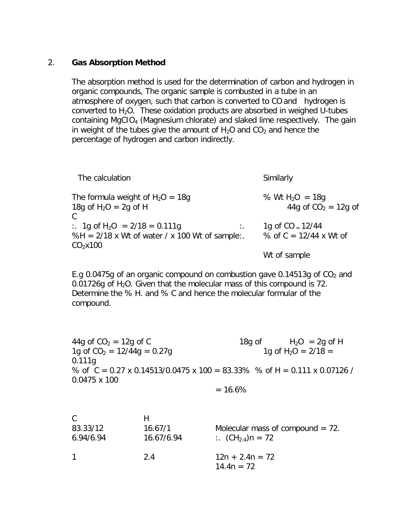#### 2. **Gas Absorption Method**

The absorption method is used for the determination of carbon and hydrogen in organic compounds, The organic sample is combusted in a tube in an atmosphere of oxygen, such that carbon is converted to CO and hydrogen is converted to  $H_2O$ . These oxidation products are absorbed in weighed U-tubes containing MgCIO<sup>4</sup> (Magnesium chlorate) and slaked lime respectively. The gain in weight of the tubes give the amount of  $H_2O$  and  $CO_2$  and hence the percentage of hydrogen and carbon indirectly.

| The calculation                                     | Similarly                   |
|-----------------------------------------------------|-----------------------------|
| The formula weight of $H_2O = 18q$                  | % Wt H <sub>2</sub> O = 18g |
| 18g of $H_2O = 2g$ of H                             | 44g of $CO2 = 12g$ of       |
| $\therefore$ 1g of H <sub>2</sub> O = 2/18 = 0.111g | 1g of $CO = 12/44$          |
| %H = $2/18$ x Wt of water / x 100 Wt of sample:     | $\ddots$                    |
| CO <sub>2</sub> x100                                | % of $C = 12/44$ x Wt of    |
|                                                     | Wt of sample                |

E.g 0.0475g of an organic compound on combustion gave 0.14513g of  $CO<sub>2</sub>$  and 0.01726g of  $H_2O$ . Given that the molecular mass of this compound is 72. Determine the % H. and % C and hence the molecular formular of the compound.

44g of  $CO_2 = 12g$  of C 18g of H<sub>2</sub>O = 2g of H 1g of  $CO_2 = 12/44g = 0.27g$  1g of H<sub>2</sub>O = 2/18 = 0.111g % of  $C = 0.27$  x 0.14513/0.0475 x 100 = 83.33% % of H = 0.111 x 0.07126 / 0.0475 x 100

 $= 16.6\%$ 

| C.<br>83.33/12<br>6.94/6.94 | н<br>16.67/1<br>16.67/6.94 | Molecular mass of compound $= 72$ .<br>:. $(CH_{2,4})n = 72$ |
|-----------------------------|----------------------------|--------------------------------------------------------------|
| $\mathbf 1$                 | 2.4                        | $12n + 2.4n = 72$<br>$14.4n = 72$                            |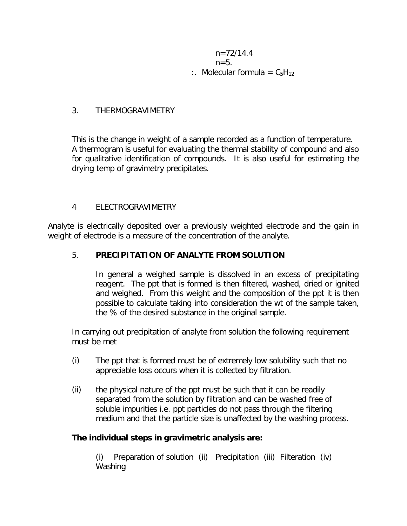$n=72/14.4$  $n=5$ . :. Molecular formula =  $C_5H_{12}$ 

#### 3. THERMOGRAVIMETRY

This is the change in weight of a sample recorded as a function of temperature. A thermogram is useful for evaluating the thermal stability of compound and also for qualitative identification of compounds. It is also useful for estimating the drying temp of gravimetry precipitates.

#### 4 ELECTROGRAVIMETRY

Analyte is electrically deposited over a previously weighted electrode and the gain in weight of electrode is a measure of the concentration of the analyte.

#### 5. **PRECIPITATION OF ANALYTE FROM SOLUTION**

In general a weighed sample is dissolved in an excess of precipitating reagent. The ppt that is formed is then filtered, washed, dried or ignited and weighed. From this weight and the composition of the ppt it is then possible to calculate taking into consideration the wt of the sample taken, the % of the desired substance in the original sample.

In carrying out precipitation of analyte from solution the following requirement must be met

- (i) The ppt that is formed must be of extremely low solubility such that no appreciable loss occurs when it is collected by filtration.
- (ii) the physical nature of the ppt must be such that it can be readily separated from the solution by filtration and can be washed free of soluble impurities i.e. ppt particles do not pass through the filtering medium and that the particle size is unaffected by the washing process.

### **The individual steps in gravimetric analysis are:**

(i) Preparation of solution (ii) Precipitation (iii) Filteration (iv) Washing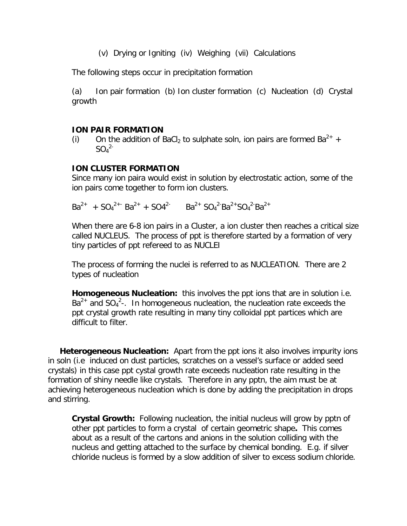(v) Drying or Igniting (iv) Weighing (vii) Calculations

The following steps occur in precipitation formation

(a) Ion pair formation (b) Ion cluster formation (c) Nucleation (d) Crystal growth

#### **ION PAIR FORMATION**

(i) On the addition of BaCl<sub>2</sub> to sulphate soln, ion pairs are formed  $Ba^{2+}$  +  $SO_4^2$ 

#### **ION CLUSTER FORMATION**

Since many ion paira would exist in solution by electrostatic action, some of the ion pairs come together to form ion clusters.

 $Ba^{2+} + SO_4^{2+}$   $Ba^{2+} + SO4^{2-}$   $Ba^{2+} SO_4^{2-}Ba^{2+}SO_4^{2-}Ba^{2+}$ 

When there are 6-8 ion pairs in a Cluster, a ion cluster then reaches a critical size called NUCLEUS. The process of ppt is therefore started by a formation of very tiny particles of ppt refereed to as NUCLEI

The process of forming the nuclei is referred to as NUCLEATION. There are 2 types of nucleation

**Homogeneous Nucleation:** this involves the ppt ions that are in solution i.e.  $Ba^{2+}$  and  $SO_4{}^{2-}$ . In homogeneous nucleation, the nucleation rate exceeds the ppt crystal growth rate resulting in many tiny colloidal ppt partices which are difficult to filter.

 **Heterogeneous Nucleation:** Apart from the ppt ions it also involves impurity ions in soln (i.e induced on dust particles, scratches on a vessel's surface or added seed crystals) in this case ppt cystal growth rate exceeds nucleation rate resulting in the formation of shiny needle like crystals. Therefore in any pptn, the aim must be at achieving heterogeneous nucleation which is done by adding the precipitation in drops and stirring.

**Crystal Growth:** Following nucleation, the initial nucleus will grow by pptn of other ppt particles to form a crystal of certain geometric shape**.** This comes about as a result of the cartons and anions in the solution colliding with the nucleus and getting attached to the surface by chemical bonding. E.g. if silver chloride nucleus is formed by a slow addition of silver to excess sodium chloride.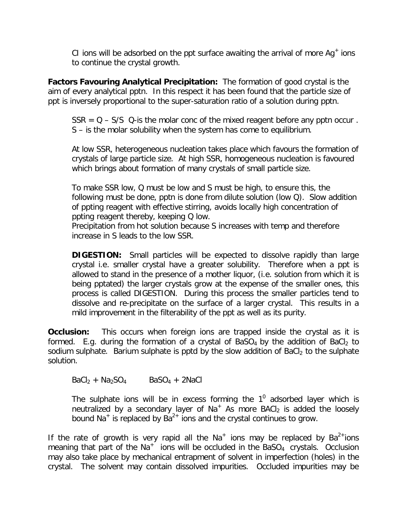CI ions will be adsorbed on the ppt surface awaiting the arrival of more  $Ag<sup>+</sup>$  ions to continue the crystal growth.

**Factors Favouring Analytical Precipitation:** The formation of good crystal is the aim of every analytical pptn. In this respect it has been found that the particle size of ppt is inversely proportional to the super-saturation ratio of a solution during pptn.

 $SSR = Q - S/S$  Q-is the molar conc of the mixed reagent before any pptn occur. S – is the molar solubility when the system has come to equilibrium.

At low SSR, heterogeneous nucleation takes place which favours the formation of crystals of large particle size. At high SSR, homogeneous nucleation is favoured which brings about formation of many crystals of small particle size.

To make SSR low, Q must be low and S must be high, to ensure this, the following must be done, pptn is done from dilute solution (low Q). Slow addition of ppting reagent with effective stirring, avoids locally high concentration of ppting reagent thereby, keeping Q low.

Precipitation from hot solution because S increases with temp and therefore increase in S leads to the low SSR.

**DIGESTION:** Small particles will be expected to dissolve rapidly than large crystal i.e. smaller crystal have a greater solubility. Therefore when a ppt is allowed to stand in the presence of a mother liquor, (i.e. solution from which it is being pptated) the larger crystals grow at the expense of the smaller ones, this process is called DIGESTION. During this process the smaller particles tend to dissolve and re-precipitate on the surface of a larger crystal. This results in a mild improvement in the filterability of the ppt as well as its purity.

**Occlusion:** This occurs when foreign ions are trapped inside the crystal as it is formed. E.g. during the formation of a crystal of BaSO<sub>4</sub> by the addition of BaCl<sub>2</sub> to sodium sulphate. Barium sulphate is pptd by the slow addition of BaC $l_2$  to the sulphate solution.

 $BaCl<sub>2</sub> + Na<sub>2</sub>SO<sub>4</sub>$  BaSO<sub>4</sub> + 2NaCl

The sulphate ions will be in excess forming the  $1^0$  adsorbed layer which is neutralized by a secondary layer of Na<sup>+</sup> As more BACI<sub>2</sub> is added the loosely bound Na<sup>+</sup> is replaced by  $Ba^{2+}$  ions and the crystal continues to grow.

If the rate of growth is very rapid all the Na<sup>+</sup> ions may be replaced by Ba<sup>2+</sup>ions meaning that part of the Na<sup>+</sup> ions will be occluded in the BaSO<sub>4</sub> crystals. Occlusion may also take place by mechanical entrapment of solvent in imperfection (holes) in the crystal. The solvent may contain dissolved impurities. Occluded impurities may be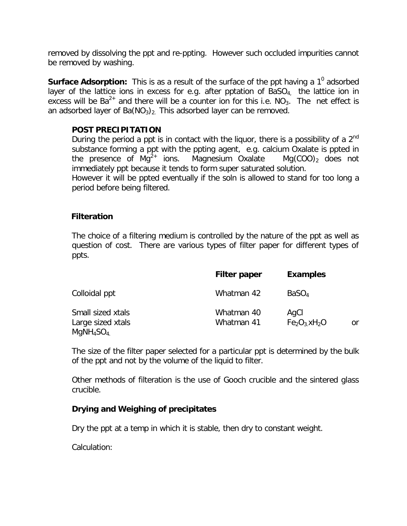removed by dissolving the ppt and re-ppting. However such occluded impurities cannot be removed by washing.

**Surface Adsorption:** This is as a result of the surface of the ppt having a 1<sup>0</sup> adsorbed layer of the lattice ions in excess for e.g. after pptation of  $BaSO<sub>4</sub>$  the lattice ion in excess will be  $Ba^{2+}$  and there will be a counter ion for this i.e. NO<sub>3</sub>. The net effect is an adsorbed layer of  $Ba(NO<sub>3</sub>)<sub>2</sub>$ . This adsorbed layer can be removed.

#### **POST PRECIPITATION**

During the period a ppt is in contact with the liquor, there is a possibility of a  $2^{nd}$ substance forming a ppt with the ppting agent, e.g. calcium Oxalate is ppted in the presence of  $Mq^{2+}$  ions. Magnesium Oxalate  $Mq(COO)_2$  does not immediately ppt because it tends to form super saturated solution.

However it will be ppted eventually if the soln is allowed to stand for too long a period before being filtered.

#### **Filteration**

The choice of a filtering medium is controlled by the nature of the ppt as well as question of cost. There are various types of filter paper for different types of ppts.

|                                                                             | <b>Filter paper</b>      | <b>Examples</b>                         |
|-----------------------------------------------------------------------------|--------------------------|-----------------------------------------|
| Colloidal ppt                                                               | Whatman 42               | BaSO <sub>4</sub>                       |
| Small sized xtals<br>Large sized xtals<br>MqNH <sub>4</sub> SO <sub>4</sub> | Whatman 40<br>Whatman 41 | AgCl<br>$Fe2O3$ xH <sub>2</sub> O<br>or |

The size of the filter paper selected for a particular ppt is determined by the bulk of the ppt and not by the volume of the liquid to filter.

Other methods of filteration is the use of Gooch crucible and the sintered glass crucible.

### **Drying and Weighing of precipitates**

Dry the ppt at a temp in which it is stable, then dry to constant weight.

Calculation: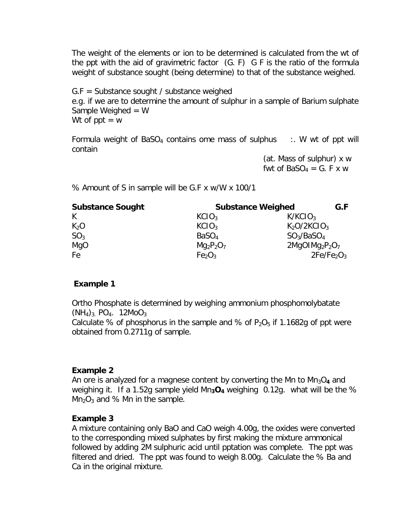The weight of the elements or ion to be determined is calculated from the wt of the ppt with the aid of gravimetric factor (G. F) G F is the ratio of the formula weight of substance sought (being determine) to that of the substance weighed.

G.F = Substance sought / substance weighed e.g. if we are to determine the amount of sulphur in a sample of Barium sulphate Sample Weighed  $= W$ Wt of  $ppt = w$ 

Formula weight of BaSO<sub>4</sub> contains ome mass of sulphus  $\therefore$  W wt of ppt will contain

> (at. Mass of sulphur) x w fwt of  $BaSO_4 = G$ . F x w

% Amount of S in sample will be G.F x w/W x 100/1

| <b>Substance Sought</b> | <b>Substance Weighed</b>       |                                     |  |
|-------------------------|--------------------------------|-------------------------------------|--|
| K                       | KClO <sub>3</sub>              | K/KCIO <sub>3</sub>                 |  |
| $K_2O$                  | KClO <sub>3</sub>              | K <sub>2</sub> O/2KClO <sub>3</sub> |  |
| SO <sub>3</sub>         | BaSO <sub>4</sub>              | $SO_3/BaSO_4$                       |  |
| MgO                     | $Mg_2P_2O_7$                   | $2MgOIMg2P2O7$                      |  |
| Fe                      | Fe <sub>2</sub> O <sub>3</sub> | 2Fe/Fe <sub>2</sub> O <sub>3</sub>  |  |

### **Example 1**

Ortho Phosphate is determined by weighing ammonium phosphomolybatate  $(NH_4)_{3.}$  PO<sub>4</sub>. 12MoO<sub>3</sub>

Calculate % of phosphorus in the sample and % of  $P_2O_5$  if 1.1682g of ppt were obtained from 0.2711g of sample.

### **Example 2**

An ore is analyzed for a magnese content by converting the Mn to Mn<sub>3</sub>O<sub>4</sub> and weighing it. If a 1.52g sample yield  $Mn_3O_4$  weighing 0.12g. what will be the %  $Mn<sub>2</sub>O<sub>3</sub>$  and % Mn in the sample.

### **Example 3**

A mixture containing only BaO and CaO weigh 4.00g, the oxides were converted to the corresponding mixed sulphates by first making the mixture ammonical followed by adding 2M sulphuric acid until pptation was complete. The ppt was filtered and dried. The ppt was found to weigh 8.00g. Calculate the % Ba and Ca in the original mixture.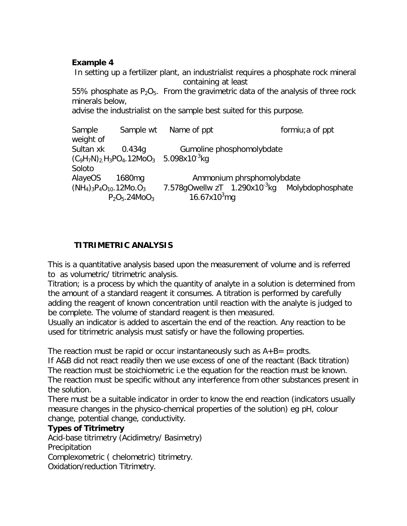#### **Example 4**

In setting up a fertilizer plant, an industrialist requires a phosphate rock mineral containing at least

55% phosphate as  $P_2O_5$ . From the gravimetric data of the analysis of three rock minerals below,

advise the industrialist on the sample best suited for this purpose.

| Sample                       |                    | Sample wt Name of ppt                                 |                           | formiu; a of ppt                                           |
|------------------------------|--------------------|-------------------------------------------------------|---------------------------|------------------------------------------------------------|
| weight of                    |                    |                                                       |                           |                                                            |
| Sultan xk                    | 0.434q             |                                                       | Gumoline phosphomolybdate |                                                            |
|                              |                    | $(C_9H_7N)_2H_3PO_4.12MO_3$ 5.098x10 <sup>-3</sup> kg |                           |                                                            |
| Soloto                       |                    |                                                       |                           |                                                            |
| AlayeOS                      | 1680 <sub>mq</sub> |                                                       | Ammonium phrsphomolybdate |                                                            |
| $(NH_4)_3P_4O_{10}.12Mo.O_3$ |                    |                                                       |                           | 7.578qOwellw zT 1.290x10 <sup>-3</sup> kg Molybdophosphate |
|                              | $P_2O_5.24MoO_3$   | 16.67x10 $3$ mg                                       |                           |                                                            |

## **TITRIMETRIC ANALYSIS**

This is a quantitative analysis based upon the measurement of volume and is referred to as volumetric/ titrimetric analysis.

Titration; is a process by which the quantity of analyte in a solution is determined from the amount of a standard reagent it consumes. A titration is performed by carefully adding the reagent of known concentration until reaction with the analyte is judged to be complete. The volume of standard reagent is then measured.

Usually an indicator is added to ascertain the end of the reaction. Any reaction to be used for titrimetric analysis must satisfy or have the following properties.

The reaction must be rapid or occur instantaneously such as  $A+B=$  prodts.

If A&B did not react readily then we use excess of one of the reactant (Back titration) The reaction must be stoichiometric i.e the equation for the reaction must be known. The reaction must be specific without any interference from other substances present in the solution.

There must be a suitable indicator in order to know the end reaction (indicators usually measure changes in the physico-chemical properties of the solution) eg pH, colour change, potential change, conductivity.

### **Types of Titrimetry**

Acid-base titrimetry (Acidimetry/ Basimetry)

**Precipitation** 

Complexometric ( chelometric) titrimetry.

Oxidation/reduction Titrimetry.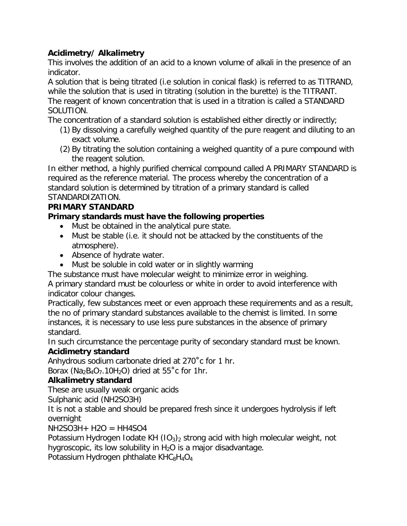## **Acidimetry/ Alkalimetry**

This involves the addition of an acid to a known volume of alkali in the presence of an indicator.

A solution that is being titrated (i.e solution in conical flask) is referred to as TITRAND, while the solution that is used in titrating (solution in the burette) is the TITRANT. The reagent of known concentration that is used in a titration is called a STANDARD SOLUTION.

The concentration of a standard solution is established either directly or indirectly;

- (1) By dissolving a carefully weighed quantity of the pure reagent and diluting to an exact volume.
- (2) By titrating the solution containing a weighed quantity of a pure compound with the reagent solution.

In either method, a highly purified chemical compound called A PRIMARY STANDARD is required as the reference material. The process whereby the concentration of a standard solution is determined by titration of a primary standard is called STANDARDIZATION.

## **PRIMARY STANDARD**

## **Primary standards must have the following properties**

- Must be obtained in the analytical pure state.
- Must be stable (i.e. it should not be attacked by the constituents of the atmosphere).
- Absence of hydrate water.
- Must be soluble in cold water or in slightly warming

The substance must have molecular weight to minimize error in weighing.

A primary standard must be colourless or white in order to avoid interference with indicator colour changes.

Practically, few substances meet or even approach these requirements and as a result, the no of primary standard substances available to the chemist is limited. In some instances, it is necessary to use less pure substances in the absence of primary standard.

In such circumstance the percentage purity of secondary standard must be known. **Acidimetry standard**

Anhydrous sodium carbonate dried at 270˚c for 1 hr.

Borax ( $Na<sub>2</sub>B<sub>4</sub>O<sub>7</sub>$ .10H<sub>2</sub>O) dried at 55 $^{\circ}$ c for 1hr.

## **Alkalimetry standard**

These are usually weak organic acids

Sulphanic acid (NH2SO3H)

It is not a stable and should be prepared fresh since it undergoes hydrolysis if left overnight

 $NH2SO3H+H2O = HH4SO4$ 

Potassium Hydrogen Iodate KH  $(1O<sub>3</sub>)<sub>2</sub>$  strong acid with high molecular weight, not hygroscopic, its low solubility in  $H_2O$  is a major disadvantage.

Potassium Hydrogen phthalate  $KHC_8H_4O_4$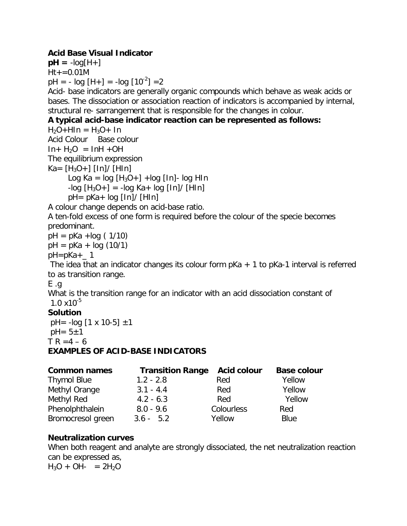### **Acid Base Visual Indicator**

 $pH = -log[H+]$  $Ht + = 0.01M$  $pH = -log [H+] = -log [10^{-2}] = 2$ 

Acid- base indicators are generally organic compounds which behave as weak acids or bases. The dissociation or association reaction of indicators is accompanied by internal, structural re- sarrangement that is responsible for the changes in colour.

### **A typical acid-base indicator reaction can be represented as follows:**

 $H_2O+HIn = H_3O+ In$ 

Acid Colour Base colour  $In+ H<sub>2</sub>O = InH +OH$ 

The equilibrium expression

 $Ka = [H_3O+] [In]/ [HIn]$ 

Log Ka =  $log [H_3O+] + log [In]- log HIn$ 

 $-$ log  $[H_3O+] = -log Ka + log [In]/[HIn]$  $pH = pKa + log [In]/[HIn]$ 

A colour change depends on acid-base ratio.

A ten-fold excess of one form is required before the colour of the specie becomes predominant.

 $pH = pKa + log(1/10)$ 

 $pH = pKa + log(10/1)$ 

 $pH=pKa+$  1

The idea that an indicator changes its colour form  $pKa + 1$  to  $pKa-1$  interval is referred to as transition range.

E .g

What is the transition range for an indicator with an acid dissociation constant of  $1.0 \times 10^{-5}$ 

## **Solution**

 $pH = -log [1 \times 10-5] \pm 1$  $pH = 5 \pm 1$  $TR = 4 - 6$ **EXAMPLES OF ACID-BASE INDICATORS**

| <b>Common names</b> | <b>Transition Range</b> | <b>Acid colour</b> | <b>Base colour</b> |
|---------------------|-------------------------|--------------------|--------------------|
| <b>Thymol Blue</b>  | $1.2 - 2.8$             | Red                | Yellow             |
| Methyl Orange       | $3.1 - 4.4$             | Red                | Yellow             |
| Methyl Red          | $4.2 - 6.3$             | Red                | Yellow             |
| Phenolphthalein     | $8.0 - 9.6$             | Colourless         | Red                |
| Bromocresol green   | $3.6 - 5.2$             | Yellow             | Blue               |

### **Neutralization curves**

When both reagent and analyte are strongly dissociated, the net neutralization reaction can be expressed as,  $H_3O + OH- = 2H_2O$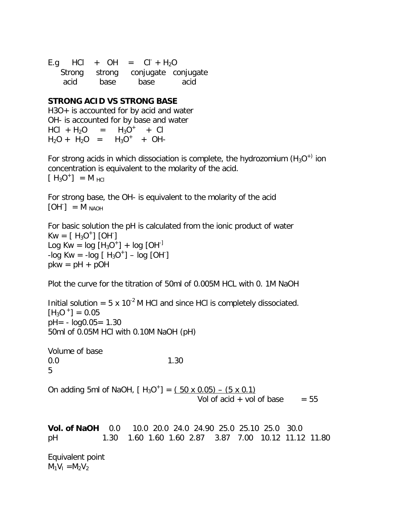E.g HCl + OH =  $CI + H<sub>2</sub>O$  Strong strong conjugate conjugate acid base base acid

#### **STRONG ACID VS STRONG BASE**

H3O+ is accounted for by acid and water OH- is accounted for by base and water  $HCl + H<sub>2</sub>O =$  $^+$  + Cl  $H_2O + H_2O = H_3O^+ + OH-$ 

For strong acids in which dissociation is complete, the hydrozomium (H<sub>3</sub>O<sup>+)</sup> ion concentration is equivalent to the molarity of the acid.  $[H_3O^+] = M_{\text{HCl}}$ 

For strong base, the OH- is equivalent to the molarity of the acid  $[OH<sup>-</sup>] = M<sub>NAOH</sub>$ 

For basic solution the pH is calculated from the ionic product of water  $Kw = [H_3O^+] [OH]$ Log Kw =  $log [H_3O^+]$  +  $log [OH^+]$  $-log Kw = -log [H<sub>3</sub>O<sup>+</sup>] - log [OH<sup>-</sup>]$  $pkw = pH + pOH$ 

Plot the curve for the titration of 50ml of 0.005M HCL with 0. 1M NaOH

Initial solution =  $5 \times 10^{-2}$  M HCl and since HCl is completely dissociated.  $[H_3O^+] = 0.05$  $pH = - \log 0.05 = 1.30$ 50ml of 0.05M HCl with 0.10M NaOH (pH)

Volume of base 0.0 1.30 5

On adding 5ml of NaOH,  $[H_3O^+] = (50 \times 0.05) - (5 \times 0.1)$ Vol of acid  $+$  vol of base  $= 55$ 

**Vol. of NaOH** 0.0 10.0 20.0 24.0 24.90 25.0 25.10 25.0 30.0 pH 1.30 1.60 1.60 1.60 2.87 3.87 7.00 10.12 11.12 11.80

Equivalent point  $M_1V_1 = M_2V_2$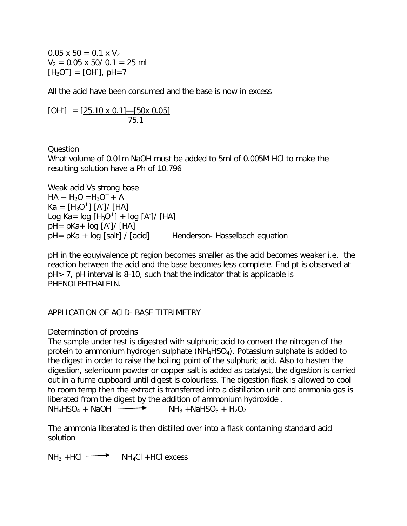$0.05 \times 50 = 0.1 \times V_2$  $V_2 = 0.05 \times 50/0.1 = 25$  ml  $[H_3O^+] = [OH$ ], pH=7

All the acid have been consumed and the base is now in excess

 $[OH^{\dagger}] = [25.10 \times 0.1] - [50 \times 0.05]$ 75.1

Question

What volume of 0.01m NaOH must be added to 5ml of 0.005M HCl to make the resulting solution have a Ph of 10.796

Weak acid Vs strong base  $HA + H_2O = H_3O^+ + A^ Ka = [H<sub>3</sub>O<sup>+</sup>] [A<sup>-</sup>] / [HA]$ Log Ka=  $log [H_3O^+] + log [A^+] / [HA]$ pH= pKa+ log [A- ]/ [HA] pH= pKa + log [salt] / [acid] Henderson- Hasselbach equation

pH in the equyivalence pt region becomes smaller as the acid becomes weaker i.e. the reaction between the acid and the base becomes less complete. End pt is observed at pH> 7, pH interval is 8-10, such that the indicator that is applicable is PHENOLPHTHALEIN.

APPLICATION OF ACID- BASE TITRIMETRY

### Determination of proteins

The sample under test is digested with sulphuric acid to convert the nitrogen of the protein to ammonium hydrogen sulphate  $(NH_4HSO_4)$ . Potassium sulphate is added to the digest in order to raise the boiling point of the sulphuric acid. Also to hasten the digestion, selenioum powder or copper salt is added as catalyst, the digestion is carried out in a fume cupboard until digest is colourless. The digestion flask is allowed to cool to room temp then the extract is transferred into a distillation unit and ammonia gas is liberated from the digest by the addition of ammonium hydroxide .

 $NH_4HSO_4 + NaOH \longrightarrow$   $NH_3 + NaHSO_3 + H_2O_2$ 

The ammonia liberated is then distilled over into a flask containing standard acid solution

 $NH_3$  +HCl  $\longrightarrow$  NH<sub>4</sub>Cl +HCl excess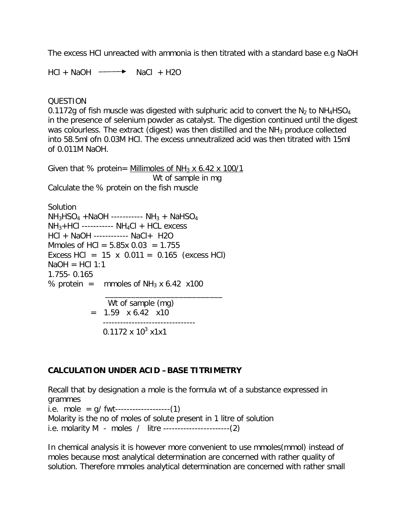The excess HCl unreacted with ammonia is then titrated with a standard base e.g NaOH

 $HCl + NaOH \longrightarrow NaCl + H2O$ 

#### QUESTION

0.1172g of fish muscle was digested with sulphuric acid to convert the  $N_2$  to NH<sub>4</sub>HSO<sub>4</sub> in the presence of selenium powder as catalyst. The digestion continued until the digest was colourless. The extract (digest) was then distilled and the  $NH<sub>3</sub>$  produce collected into 58.5ml ofn 0.03M HCl. The excess unneutralized acid was then titrated with 15ml of 0.011M NaOH.

Given that % protein= Millimoles of  $NH_3$  x 6.42 x 100/1 Wt of sample in mg Calculate the % protein on the fish muscle

Solution  $NH<sub>3</sub>HSO<sub>4</sub> + NaOH$  -----------  $NH<sub>3</sub> + NaHSO<sub>4</sub>$ NH3+HCl ----------- NH4Cl + HCL excess HCl + NaOH ------------ NaCl+ H2O Mmoles of HCl =  $5.85x$  0.03 = 1.755 Excess HCl =  $15 \times 0.011 = 0.165$  (excess HCl)  $NaOH = HCl 1:1$ 1.755- 0.165 % protein = mmoles of  $NH_3$  x 6.42 x100

 $\overline{\phantom{a}}$  ,  $\overline{\phantom{a}}$  ,  $\overline{\phantom{a}}$  ,  $\overline{\phantom{a}}$  ,  $\overline{\phantom{a}}$  ,  $\overline{\phantom{a}}$  ,  $\overline{\phantom{a}}$  ,  $\overline{\phantom{a}}$  ,  $\overline{\phantom{a}}$  ,  $\overline{\phantom{a}}$  ,  $\overline{\phantom{a}}$  ,  $\overline{\phantom{a}}$  ,  $\overline{\phantom{a}}$  ,  $\overline{\phantom{a}}$  ,  $\overline{\phantom{a}}$  ,  $\overline{\phantom{a}}$  Wt of sample (mg)  $= 1.59 \times 6.42 \times 10$  -------------------------------- 0.1172 x  $10^3$  x1x1

#### **CALCULATION UNDER ACID –BASE TITRIMETRY**

Recall that by designation a mole is the formula wt of a substance expressed in grammes i.e. mole =  $q/$  fwt-------------------(1) Molarity is the no of moles of solute present in 1 litre of solution i.e. molarity M - moles / litre -----------------------(2)

In chemical analysis it is however more convenient to use mmoles(mmol) instead of moles because most analytical determination are concerned with rather quality of solution. Therefore mmoles analytical determination are concerned with rather small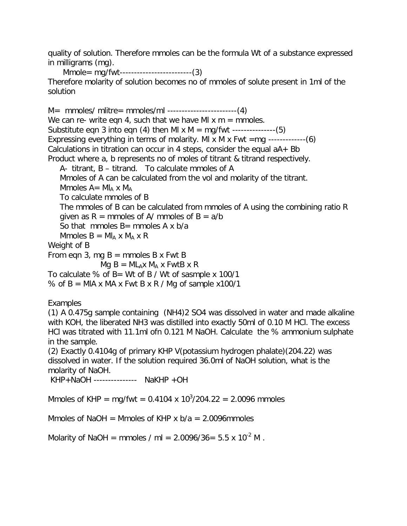quality of solution. Therefore mmoles can be the formula Wt of a substance expressed in milligrams (mg).

 Mmole= mg/fwt-------------------------(3) Therefore molarity of solution becomes no of mmoles of solute present in 1ml of the solution

M= mmoles/ mlitre= mmoles/ml ------------------------(4) We can re- write eqn 4, such that we have MI  $x$  m = mmoles. Substitute eqn 3 into eqn (4) then MI  $x$  M = mg/fwt ---------------(5) Expressing everything in terms of molarity. MI x M x Fwt  $=$ mg  $----(6)$ Calculations in titration can occur in 4 steps, consider the equal  $aA + Bb$ Product where a, b represents no of moles of titrant & titrand respectively.

A- titrant, B – titrand. To calculate mmoles of A

Mmoles of A can be calculated from the vol and molarity of the titrant.

Mmoles  $A = M I_A \times M_A$ 

To calculate mmoles of B

The mmoles of B can be calculated from mmoles of A using the combining ratio R given as  $R =$  mmoles of A/ mmoles of  $B = a/b$ 

So that mmoles  $B=$  mmoles A x b/a

Mmoles  $B = MI_A \times M_A \times R$ 

Weight of B

From eqn 3, mg  $B =$  mmoles B x Fwt B

 $Mq B = ML_A x M_A x FwtB x R$ 

To calculate % of B= Wt of B / Wt of sasmple x 100/1

% of  $B = MIA \times MA \times FwtB \times R / Mg$  of sample x100/1

## Examples

(1) A 0.475g sample containing (NH4)2 SO4 was dissolved in water and made alkaline with KOH, the liberated NH3 was distilled into exactly 50ml of 0.10 M HCl. The excess HCl was titrated with 11.1ml ofn 0.121 M NaOH. Calculate the % ammonium sulphate in the sample.

(2) Exactly 0.4104g of primary KHP V(potassium hydrogen phalate)(204.22) was dissolved in water. If the solution required 36.0ml of NaOH solution, what is the molarity of NaOH.

KHP+NaOH --------------- NaKHP +OH

Mmoles of KHP = mg/fwt = 0.4104 x 10<sup>3</sup>/204.22 = 2.0096 mmoles

Mmoles of NaOH = Mmoles of KHP x  $b/a = 2.0096$ mmoles

Molarity of NaOH = mmoles / ml =  $2.0096/36 = 5.5 \times 10^{-2}$  M.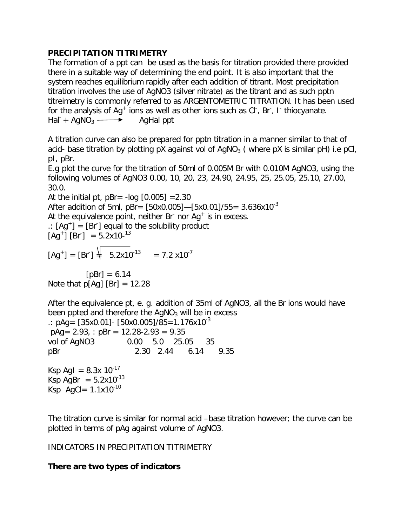### **PRECIPITATION TITRIMETRY**

The formation of a ppt can be used as the basis for titration provided there provided there in a suitable way of determining the end point. It is also important that the system reaches equilibrium rapidly after each addition of titrant. Most precipitation titration involves the use of AgNO3 (silver nitrate) as the titrant and as such pptn titreimetry is commonly referred to as ARGENTOMETRIC TITRATION. It has been used for the analysis of  $Ag^+$  ions as well as other ions such as Cl<sup>-</sup>, Br<sup>-</sup>, I<sup>-</sup> thiocyanate.  $\text{Hal} + \text{AqNO}_3 \longrightarrow \text{AqHal}$  ppt

A titration curve can also be prepared for pptn titration in a manner similar to that of acid- base titration by plotting pX against vol of  $AqNO<sub>3</sub>$  (where pX is similar pH) i.e pCl, pI, pBr.

E.g plot the curve for the titration of 50ml of 0.005M Br with 0.010M AgNO3, using the following volumes of AgNO3 0.00, 10, 20, 23, 24.90, 24.95, 25, 25.05, 25.10, 27.00, 30.0.

At the initial pt,  $pBr = -log [0.005] = 2.30$ After addition of 5ml,  $pBr = [50x0.005] - [5x0.01]/55 = 3.636x10^{-3}$ At the equivalence point, neither Br nor  $Ag<sup>+</sup>$  is in excess.  $\therefore$  [Ag<sup>+</sup>] = [Br<sup>-</sup>] equal to the solubility product  $[Ag^+]$   $[Br] = 5.2x10^{-13}$  $[Ag^+] = [Br^+] \frac{1}{4} 5.2x10^{-13} = 7.2 x10^{-7}$ 

 $[pBr] = 6.14$ Note that  $p[Aq]$  [Br] = 12.28

After the equivalence pt, e. g. addition of 35ml of AgNO3, all the Br ions would have been ppted and therefore the  $AqNO<sub>3</sub>$  will be in excess  $\therefore$  pAg = [35x0.01] - [50x0.005]/85 = 1.176x10<sup>-3</sup>  $pAg = 2.93$ , :  $pBr = 12.28 - 2.93 = 9.35$ vol of AgNO3 0.00 5.0 25.05 35 pBr 2.30 2.44 6.14 9.35 Ksp AgI =  $8.3x 10^{-17}$ Ksp AgBr =  $5.2x10^{-13}$ Ksp AgCl=  $1.1x10^{-10}$ 

The titration curve is similar for normal acid –base titration however; the curve can be plotted in terms of pAg against volume of AgNO3.

### INDICATORS IN PRECIPITATION TITRIMETRY

## **There are two types of indicators**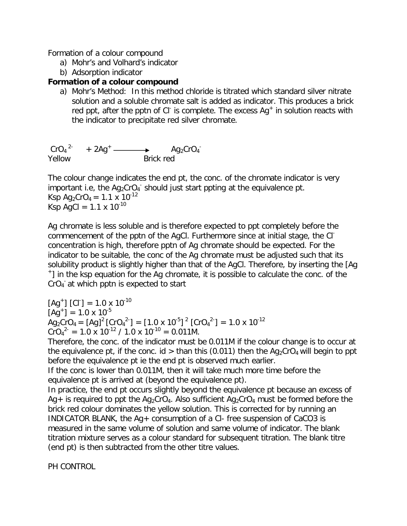Formation of a colour compound

- a) Mohr's and Volhard's indicator
- b) Adsorption indicator

### **Formation of a colour compound**

a) Mohr's Method: In this method chloride is titrated which standard silver nitrate solution and a soluble chromate salt is added as indicator. This produces a brick red ppt, after the pptn of CI is complete. The excess  $Ag<sup>+</sup>$  in solution reacts with the indicator to precipitate red silver chromate.

 $CrO_4^2$  +  $2Ag^+$  Ag<sub>2</sub>CrO<sub>4</sub> Yellow Brick red

The colour change indicates the end pt, the conc. of the chromate indicator is very important i.e, the  $Ag_2CrO_4$  should just start ppting at the equivalence pt. Ksp Ag<sub>2</sub>CrO<sub>4</sub> = 1.1 x 10<sup>-12</sup> Ksp AgCl =  $1.1 \times 10^{-10}$ 

Ag chromate is less soluble and is therefore expected to ppt completely before the commencement of the pptn of the AgCl. Furthermore since at initial stage, the Clconcentration is high, therefore pptn of Ag chromate should be expected. For the indicator to be suitable, the conc of the Ag chromate must be adjusted such that its solubility product is slightly higher than that of the AgCl. Therefore, by inserting the [Ag + ] in the ksp equation for the Ag chromate, it is possible to calculate the conc. of the CrO<sub>4</sub> at which pptn is expected to start

 $[Ag^+]$   $[Cl^-] = 1.0 \times 10^{-10}$  $[Ag<sup>+</sup>] = 1.0 \times 10<sup>-5</sup>$  $\text{Ag}_2\text{CrO}_4 = \text{[Ag]}^2 \text{[CrO}_4{}^2\text{]} = \text{[}1.0 \times 10^{-5} \text{]}^2 \text{[CrO}_4{}^2\text{]} = 1.0 \times 10^{-12}$  $\text{CrO}_4^2 = 1.0 \times 10^{-12} / 1.0 \times 10^{-10} = 0.011 \text{M}.$ 

Therefore, the conc. of the indicator must be 0.011M if the colour change is to occur at the equivalence pt, if the conc. id > than this (0.011) then the  $Aq_2CrO_4$  will begin to ppt before the equivalence pt ie the end pt is observed much earlier.

If the conc is lower than 0.011M, then it will take much more time before the equivalence pt is arrived at (beyond the equivalence pt).

In practice, the end pt occurs slightly beyond the equivalence pt because an excess of Ag + is required to ppt the Ag<sub>2</sub>CrO<sub>4</sub>. Also sufficient Ag<sub>2</sub>CrO<sub>4</sub> must be formed before the brick red colour dominates the yellow solution. This is corrected for by running an INDICATOR BLANK, the Ag+ consumption of a Cl- free suspension of CaCO3 is measured in the same volume of solution and same volume of indicator. The blank titration mixture serves as a colour standard for subsequent titration. The blank titre (end pt) is then subtracted from the other titre values.

PH CONTROL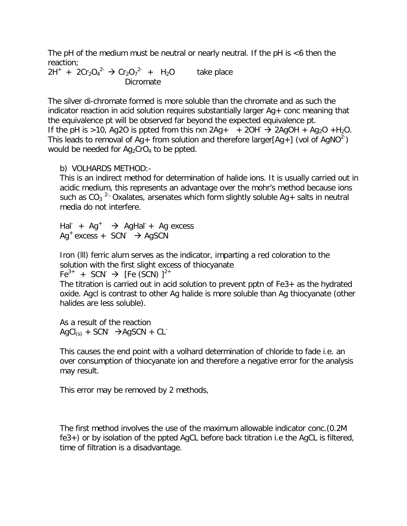The pH of the medium must be neutral or nearly neutral. If the pH is  $<$ 6 then the reaction;

 $2H^{+} + 2Cr_{2}O_{4}^{2} \rightarrow Cr_{2}O_{7}^{2} + H_{2}O$  take place Dicromate

The silver di-chromate formed is more soluble than the chromate and as such the indicator reaction in acid solution requires substantially larger Ag+ conc meaning that the equivalence pt will be observed far beyond the expected equivalence pt. If the pH is >10, Ag2O is ppted from this rxn 2Ag+  $+$  2OH $\rightarrow$  2AgOH + Ag<sub>2</sub>O +H<sub>2</sub>O. This leads to removal of Ag+ from solution and therefore larger[Ag+] (vol of AgNO<sup>2-</sup>) would be needed for  $Aq_2CrO_4$  to be ppted.

#### b) VOLHARDS METHOD:-

This is an indirect method for determination of halide ions. It is usually carried out in acidic medium, this represents an advantage over the mohr's method because ions such as CO<sub>3</sub><sup>2-,</sup> Oxalates, arsenates which form slightly soluble Ag+ salts in neutral media do not interfere.

Hal<sup>-</sup> + Ag<sup>+</sup>  $\rightarrow$  AgHal<sup>-</sup> + Ag excess Ag<sup>+</sup> excess + SCN<sup>-</sup> → AgSCN

Iron (lll) ferric alum serves as the indicator, imparting a red coloration to the solution with the first slight excess of thiocyanate

Fe<sup>3+</sup> + SCN<sup>-</sup>  $\rightarrow$  [Fe (SCN) ]<sup>2+</sup>

The titration is carried out in acid solution to prevent pptn of Fe3+ as the hydrated oxide. Agcl is contrast to other Ag halide is more soluble than Ag thiocyanate (other halides are less soluble).

As a result of the reaction  $AgCl_{(s)} + SCN^{-} \rightarrow AgSCN + CL^{-}$ 

This causes the end point with a volhard determination of chloride to fade i.e. an over consumption of thiocyanate ion and therefore a negative error for the analysis may result.

This error may be removed by 2 methods,

The first method involves the use of the maximum allowable indicator conc.(0.2M fe3+) or by isolation of the ppted AgCL before back titration i.e the AgCL is filtered, time of filtration is a disadvantage.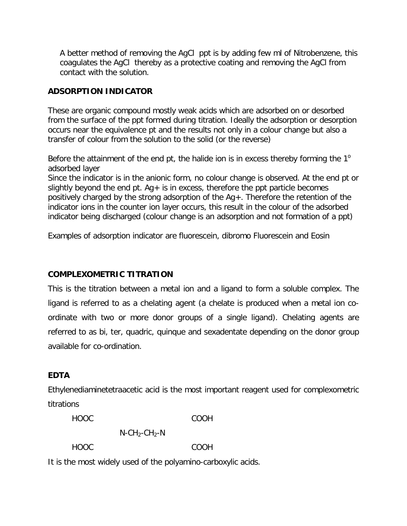A better method of removing the AgCl ppt is by adding few ml of Nitrobenzene, this coagulates the AgCl thereby as a protective coating and removing the AgCl from contact with the solution.

### **ADSORPTION INDICATOR**

These are organic compound mostly weak acids which are adsorbed on or desorbed from the surface of the ppt formed during titration. Ideally the adsorption or desorption occurs near the equivalence pt and the results not only in a colour change but also a transfer of colour from the solution to the solid (or the reverse)

Before the attainment of the end pt, the halide ion is in excess thereby forming the  $1^{\circ}$ adsorbed layer

Since the indicator is in the anionic form, no colour change is observed. At the end pt or slightly beyond the end pt.  $Aq + is$  in excess, therefore the ppt particle becomes positively charged by the strong adsorption of the Ag+. Therefore the retention of the indicator ions in the counter ion layer occurs, this result in the colour of the adsorbed indicator being discharged (colour change is an adsorption and not formation of a ppt)

Examples of adsorption indicator are fluorescein, dibromo Fluorescein and Eosin

## **COMPLEXOMETRIC TITRATION**

This is the titration between a metal ion and a ligand to form a soluble complex. The ligand is referred to as a chelating agent (a chelate is produced when a metal ion coordinate with two or more donor groups of a single ligand). Chelating agents are referred to as bi, ter, quadric, quinque and sexadentate depending on the donor group available for co-ordination.

### **EDTA**

Ethylenediaminetetraacetic acid is the most important reagent used for complexometric titrations

| <b>HOOC</b> | COOH |
|-------------|------|
|-------------|------|

 $N$ -CH<sub>2</sub>-CH<sub>2</sub>-N

HOOC COOH

It is the most widely used of the polyamino-carboxylic acids.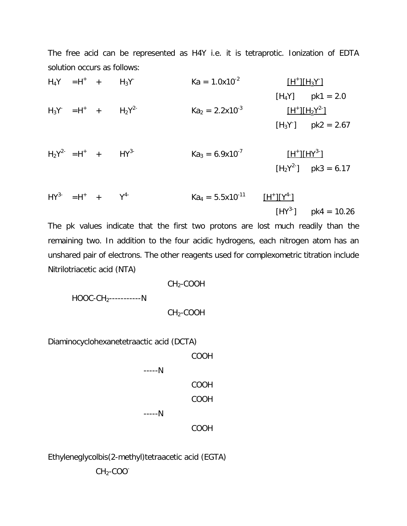The free acid can be represented as H4Y i.e. it is tetraprotic. Ionization of EDTA solution occurs as follows:

 $H_4Y = H^+ +$  $H_3Y^ Ka = 1.0x10^{-2}$  $[H^+] [H_3Y]$  $[H_4Y]$  pk1 = 2.0  $H_3Y = H^+ + H_2Y^2$  $Ka<sub>2</sub> = 2.2x10<sup>-3</sup>$  $[H^+] [H_2Y^2]$  $[H_3Y]$  pk2 = 2.67

$$
H_2Y^{2-} = H^+ + HY^{3-}
$$
  
 $Ka_3 = 6.9 \times 10^{-7}$  [H<sup>+</sup>][HY<sup>3-</sup>]  
[H<sub>2</sub>Y<sup>2-</sup>] pk3 = 6.17

$$
HY^{3-} = H^+ + Y^{4-}
$$
  $Ka_4 = 5.5 \times 10^{-11}$   $\frac{[H^+] [Y^{4-}]}{[HY^{3-}]}$  pk4 = 10.26

The pk values indicate that the first two protons are lost much readily than the remaining two. In addition to the four acidic hydrogens, each nitrogen atom has an unshared pair of electrons. The other reagents used for complexometric titration include Nitrilotriacetic acid (NTA)

CH2-COOH HOOC-CH2-----------N CH2-COOH

Diaminocyclohexanetetraactic acid (DCTA)

COOH -----N COOH COOH -----N COOH

Ethyleneglycolbis(2-methyl)tetraacetic acid (EGTA) CH<sub>2</sub>-COO<sup>-</sup>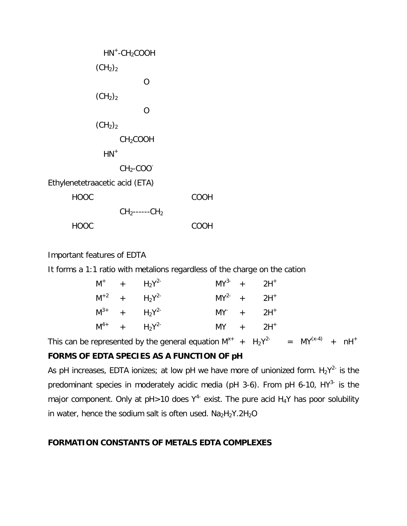| $HN^+$ -CH <sub>2</sub> COOH    |      |  |  |
|---------------------------------|------|--|--|
| (CH <sub>2</sub> ) <sub>2</sub> |      |  |  |
| O                               |      |  |  |
| (CH <sub>2</sub> ) <sub>2</sub> |      |  |  |
| O                               |      |  |  |
| (CH <sub>2</sub> ) <sub>2</sub> |      |  |  |
| CH <sub>2</sub> COOH            |      |  |  |
| $HN+$                           |      |  |  |
| $CH2-COO-$                      |      |  |  |
| Ethylenetetraacetic acid (ETA)  |      |  |  |
| <b>HOOC</b>                     | COOH |  |  |
| $CH_2$ ------ $CH_2$            |      |  |  |
| HOOC                            | COOH |  |  |

Important features of EDTA

It forms a 1:1 ratio with metalions regardless of the charge on the cation

|  | $M^+$ + $H_2Y^{2-}$    | $MY^{3-} + 2H^{+}$       |  |
|--|------------------------|--------------------------|--|
|  | $M^{+2}$ + $H_2Y^{2-}$ | $MY^{2-} + 2H^{+}$       |  |
|  | $M^{3+}$ + $H_2Y^{2-}$ | $MY^+$ + 2H <sup>+</sup> |  |
|  | $M^{4+}$ + $H_2Y^{2-}$ | $MY + 2H^+$              |  |

This can be represented by the general equation  $M^{x+}$  +  $H_2Y^{2-}$  =  $MY^{(x-4)}$  + nH<sup>+</sup> **FORMS OF EDTA SPECIES AS A FUNCTION OF pH**

As pH increases, EDTA ionizes; at low pH we have more of unionized form.  $H_2Y^{2-}$  is the predominant species in moderately acidic media (pH 3-6). From pH 6-10, HY<sup>3-</sup> is the major component. Only at  $pH > 10$  does  $Y^{4-}$  exist. The pure acid  $H_4Y$  has poor solubility in water, hence the sodium salt is often used.  $Na<sub>2</sub>H<sub>2</sub>Y.2H<sub>2</sub>O$ 

#### **FORMATION CONSTANTS OF METALS EDTA COMPLEXES**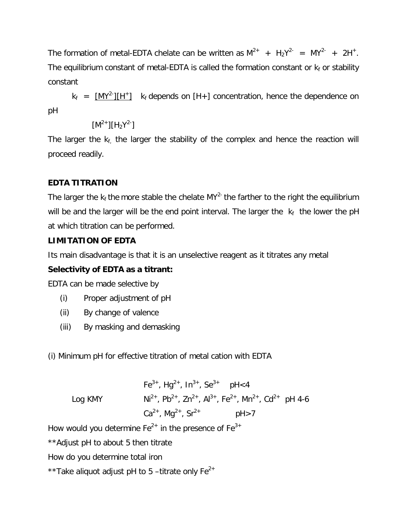The formation of metal-EDTA chelate can be written as  $M^{2+}$  +  $H_2Y^{2-}$  =  $MY^{2-}$  + 2H<sup>+</sup>. The equilibrium constant of metal-EDTA is called the formation constant or  $k_f$  or stability constant

 $k_f = \frac{[MY^2][H^+]}{k_f}$  k<sub>f</sub> depends on [H+] concentration, hence the dependence on pH

$$
[M^{2+}][H_2Y^{2-}]
$$

The larger the  $k_f$ , the larger the stability of the complex and hence the reaction will proceed readily.

## **EDTA TITRATION**

The larger the  $k_f$  the more stable the chelate MY<sup>2-</sup> the farther to the right the equilibrium will be and the larger will be the end point interval. The larger the  $k_f$  the lower the pH at which titration can be performed.

## **LIMITATION OF EDTA**

Its main disadvantage is that it is an unselective reagent as it titrates any metal

## **Selectivity of EDTA as a titrant:**

EDTA can be made selective by

- (i) Proper adjustment of pH
- (ii) By change of valence
- (iii) By masking and demasking
- (i) Minimum pH for effective titration of metal cation with EDTA

Fe<sup>3+</sup>, Hg<sup>2+</sup>, In<sup>3+</sup>, Se<sup>3+</sup> pH<4 Log KMY  $Ni^{2+}$ , Pb<sup>2+</sup>, Zn<sup>2+</sup>, Al<sup>3+</sup>, Fe<sup>2+</sup>, Mn<sup>2+</sup>, Cd<sup>2+</sup> pH 4-6  $Ca^{2+}$ , Ma<sup>2+</sup>, Sr<sup>2+</sup>  $pH > 7$ 

How would you determine  $Fe^{2+}$  in the presence of  $Fe^{3+}$ 

\*\*Adjust pH to about 5 then titrate

- How do you determine total iron
- \*\*Take aliquot adjust pH to 5 –titrate only  $Fe^{2+}$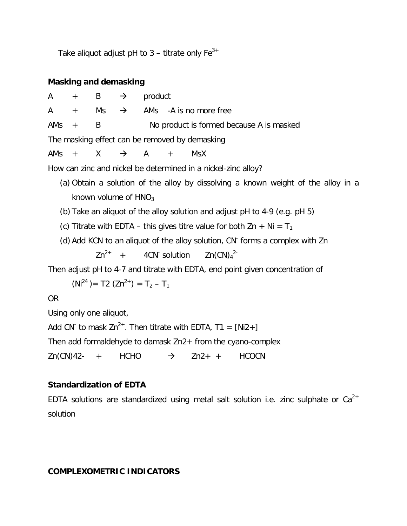Take aliquot adjust pH to  $3$  – titrate only  $Fe^{3+}$ 

### **Masking and demasking**

 $A + B \rightarrow$  product A  $+$  Ms  $\rightarrow$  AMs -A is no more free AMs + B No product is formed because A is masked The masking effect can be removed by demasking AMs +  $X \rightarrow A +$  MsX

How can zinc and nickel be determined in a nickel-zinc alloy?

- (a) Obtain a solution of the alloy by dissolving a known weight of the alloy in a known volume of  $HNO<sub>3</sub>$
- (b) Take an aliquot of the alloy solution and adjust pH to 4-9 (e.g. pH 5)
- (c) Titrate with EDTA this gives titre value for both  $\text{Zn} + \text{Ni} = \text{T}_1$
- (d) Add KCN to an aliquot of the alloy solution, CN<sup>-</sup> forms a complex with Zn

 $7n^{2+}$  + 4CN solution  $Zn(CN)<sub>4</sub><sup>2</sup>$ 

Then adjust pH to 4-7 and titrate with EDTA, end point given concentration of

 $(Ni^{24}) = T2 (Zn^{2+}) = T_2 - T_1$ 

OR

Using only one aliquot,

Add CN<sup>-</sup> to mask Zn<sup>2+</sup>. Then titrate with EDTA, T1 = [Ni2+]

Then add formaldehyde to damask Zn2+ from the cyano-complex

 $Zn(CN)42- + HCHO \rightarrow Zn2+ + HCOCN$ 

## **Standardization of EDTA**

EDTA solutions are standardized using metal salt solution i.e. zinc sulphate or  $Ca^{2+}$ solution

## **COMPLEXOMETRIC INDICATORS**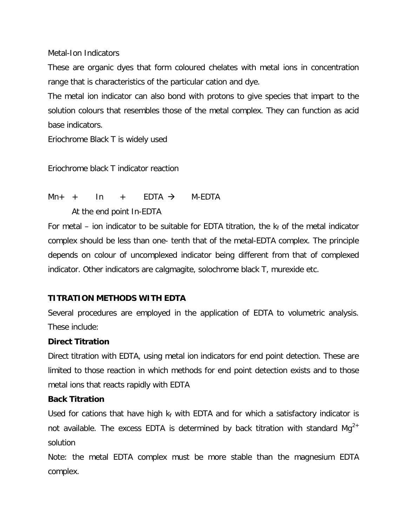Metal-Ion Indicators

These are organic dyes that form coloured chelates with metal ions in concentration range that is characteristics of the particular cation and dye.

The metal ion indicator can also bond with protons to give species that impart to the solution colours that resembles those of the metal complex. They can function as acid base indicators.

Eriochrome Black T is widely used

Eriochrome black T indicator reaction

## $Mn_{+}$  + In + FDTA  $\rightarrow$  M-FDTA

At the end point In-EDTA

For metal – ion indicator to be suitable for EDTA titration, the  $k_f$  of the metal indicator complex should be less than one- tenth that of the metal-EDTA complex. The principle depends on colour of uncomplexed indicator being different from that of complexed indicator. Other indicators are calgmagite, solochrome black T, murexide etc.

### **TITRATION METHODS WITH EDTA**

Several procedures are employed in the application of EDTA to volumetric analysis. These include:

### **Direct Titration**

Direct titration with EDTA, using metal ion indicators for end point detection. These are limited to those reaction in which methods for end point detection exists and to those metal ions that reacts rapidly with EDTA

### **Back Titration**

Used for cations that have high  $k_f$  with EDTA and for which a satisfactory indicator is not available. The excess EDTA is determined by back titration with standard  $Mq^{2+}$ solution

Note: the metal EDTA complex must be more stable than the magnesium EDTA complex.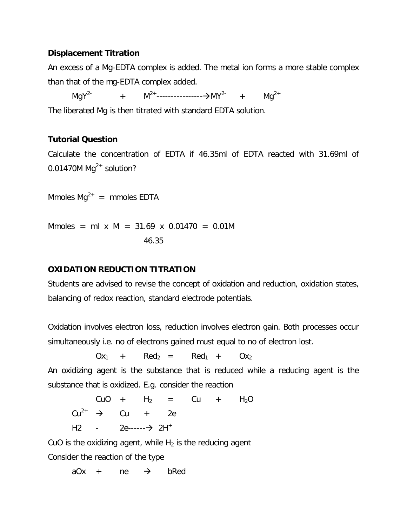### **Displacement Titration**

An excess of a Mg-EDTA complex is added. The metal ion forms a more stable complex than that of the mg-EDTA complex added.

MgY<sup>2-</sup> +  $M^{2+}$ ------------------------>MY<sup>2-</sup> + Mg<sup>2+</sup> The liberated Mg is then titrated with standard EDTA solution.

### **Tutorial Question**

Calculate the concentration of EDTA if 46.35ml of EDTA reacted with 31.69ml of 0.01470M  $Mq^{2+}$  solution?

Mmoles  $Mq^{2+}$  = mmoles EDTA

Mmoles = ml x M =  $31.69$  x 0.01470 = 0.01M 46.35

### **OXIDATION REDUCTION TITRATION**

Students are advised to revise the concept of oxidation and reduction, oxidation states, balancing of redox reaction, standard electrode potentials.

Oxidation involves electron loss, reduction involves electron gain. Both processes occur simultaneously i.e. no of electrons gained must equal to no of electron lost.

 $Ox_1$  + Red<sub>2</sub> = Red<sub>1</sub> +  $Ox_2$ 

An oxidizing agent is the substance that is reduced while a reducing agent is the substance that is oxidized. E.g. consider the reaction

 $CuO + H<sub>2</sub> = Cu + H<sub>2</sub>O$  $Cu^{2+}$   $\rightarrow$   $Cu$   $+$  2e H2 -  $2e$ ------ $\rightarrow$  2H<sup>+</sup>

CuO is the oxidizing agent, while  $H_2$  is the reducing agent Consider the reaction of the type

 $aOx + ne \rightarrow bRed$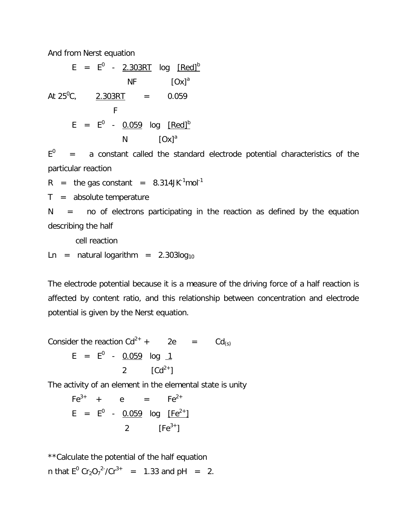And from Nerst equation

 $E$  =  $E^0$  - <u>2.303RT</u> log <u>[Red] $^{\rm b}$ </u>  $N$ F  $[Ox]$ <sup>a</sup> At  $25^{\circ}$ C.  $2.303RT = 0.059$  F E = E $^{\mathrm{o}}$  - <u>0.059</u> log [Red] $^{\mathrm{b}}$  $N$   $[Ox]<sup>a</sup>$ 

 $E^0$  = a constant called the standard electrode potential characteristics of the particular reaction

 $R =$  the gas constant = 8.314JK $^{-1}$ mol $^{-1}$ 

 $T =$  absolute temperature

 $N =$  no of electrons participating in the reaction as defined by the equation describing the half

cell reaction

Ln = natural logarithm =  $2.303log_{10}$ 

The electrode potential because it is a measure of the driving force of a half reaction is affected by content ratio, and this relationship between concentration and electrode potential is given by the Nerst equation.

Consider the reaction  $Cd^{2+}$  + 2e =  $Cd_{(s)}$  $E = E^0 - 0.059$  log <u>1</u> 2  $\lceil C d^{2+} \rceil$ 

The activity of an element in the elemental state is unity

 $Fe^{3+} + e = Fe^{2+}$ E =  $E^0$  - <u>0.059</u> log <u>[Fe<sup>2+</sup>]</u> 2  $[Fe^{3+}]$ 

\*\*Calculate the potential of the half equation n that  $E^0$  Cr<sub>2</sub>O<sub>7</sub><sup>2</sup> /Cr<sup>3+</sup> = 1.33 and pH = 2.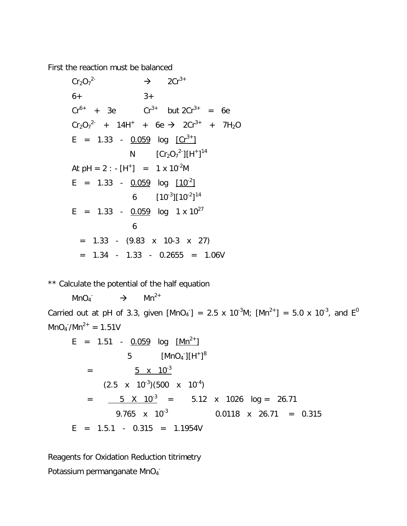First the reaction must be balanced

 $Cr_2O_7^2$  $\rightarrow$  2Cr<sup>3+</sup>  $6+$  3+  $Cr^{6+}$  + 3e + 3e  $Cr^{3+}$  but  $2Cr^{3+}$  = 6e  $Cr_2O_7^{2-}$  + 14H<sup>+</sup> + 6e  $\rightarrow$  2Cr<sup>3+</sup> + 7H<sub>2</sub>O E = 1.33 -  $0.059$  log  $[Cr^{3+}]$ N  $[Cr_2O_7^2^-][H^+]^{14}$ At  $pH = 2$  :  $[H^+] = 1 \times 10^{-2}M$ E = 1.33 -  $0.059$  log  $[10^{-2}]$ 6  $[10^{-3}][10^{-2}]^{14}$ E = 1.33 -  $0.059$  log 1 x  $10^{27}$  6  $= 1.33 - (9.83 \times 10-3 \times 27)$  $= 1.34 - 1.33 - 0.2655 = 1.06V$ 

\*\* Calculate the potential of the half equation

 $MnO<sub>4</sub>$  $\rightarrow$  Mn<sup>2+</sup> Carried out at pH of 3.3, given [MnO<sub>4</sub><sup>-</sup>] = 2.5 x 10<sup>-3</sup>M; [Mn<sup>2+</sup>] = 5.0 x 10<sup>-3</sup>, and E<sup>0</sup>  $MnO_4/Mn^{2+} = 1.51V$ 

$$
E = 1.51 - \frac{0.059}{5} \quad \text{[MnO}_4\text{^-][H^+]}^8
$$
\n
$$
= \frac{5 \times 10^{-3}}{2.5 \times 10^{-3} \times 10^{-3}} = \frac{5 \times 10^{-3}}{2.765 \times 10^{-3}} = 5.12 \times 1026 \quad \text{log} = 26.71
$$
\n
$$
= 9.765 \times 10^{-3} \quad 0.0118 \times 26.71 = 0.315
$$
\n
$$
E = 1.5.1 - 0.315 = 1.1954V
$$

Reagents for Oxidation Reduction titrimetry Potassium permanganate MnO<sub>4</sub>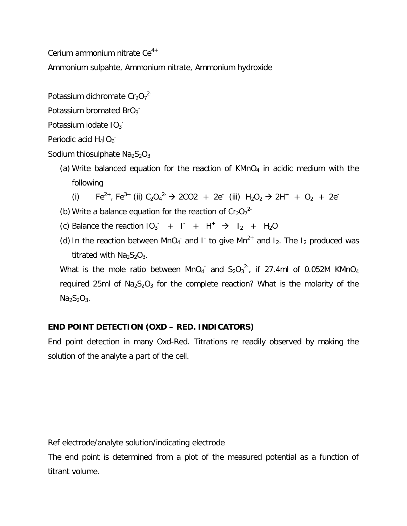Cerium ammonium nitrate  $Ce^{4+}$ 

Ammonium sulpahte, Ammonium nitrate, Ammonium hydroxide

Potassium dichromate  $Cr_2O_7^2$ 

Potassium bromated  $BrO_3$ 

Potassium iodate IO<sub>3</sub>

Periodic acid H<sub>4</sub>IO<sub>6</sub>

Sodium thiosulphate  $Na<sub>2</sub>S<sub>2</sub>O<sub>3</sub>$ 

(a) Write balanced equation for the reaction of  $KMnO<sub>4</sub>$  in acidic medium with the following

(i) 
$$
Fe^{2+}
$$
,  $Fe^{3+}$  (ii)  $C_2O_4{}^{2-}$   $\rightarrow$  2CO2 + 2e<sup>-</sup> (iii)  $H_2O_2 \rightarrow 2H^+ + O_2 + 2e^-$ 

- (b) Write a balance equation for the reaction of  $Cr_2O_7^{2-}$
- (c) Balance the reaction  $10_3$  +  $1$  +  $H^+$   $\rightarrow$   $1_2$  +  $H_2O$
- (d) In the reaction between MnO<sub>4</sub> and I to give Mn<sup>2+</sup> and I<sub>2</sub>. The I<sub>2</sub> produced was titrated with  $Na<sub>2</sub>S<sub>2</sub>O<sub>3</sub>$ .

What is the mole ratio between MnO<sub>4</sub> and S<sub>2</sub>O<sub>3</sub><sup>2-</sup>, if 27.4ml of 0.052M KMnO<sub>4</sub> required 25ml of  $Na<sub>2</sub>S<sub>2</sub>O<sub>3</sub>$  for the complete reaction? What is the molarity of the  $Na<sub>2</sub>S<sub>2</sub>O<sub>3</sub>$ .

## **END POINT DETECTION (OXD – RED. INDICATORS)**

End point detection in many Oxd-Red. Titrations re readily observed by making the solution of the analyte a part of the cell.

Ref electrode/analyte solution/indicating electrode

The end point is determined from a plot of the measured potential as a function of titrant volume.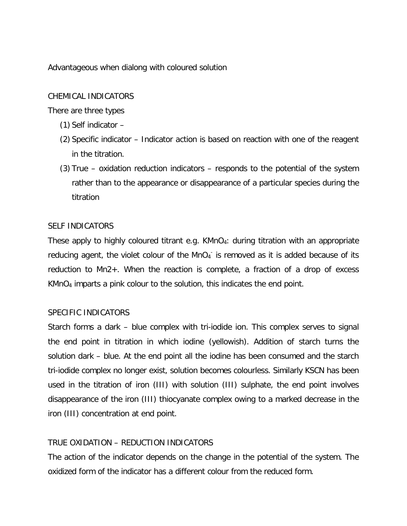Advantageous when dialong with coloured solution

#### CHEMICAL INDICATORS

There are three types

- (1) Self indicator –
- (2) Specific indicator Indicator action is based on reaction with one of the reagent in the titration.
- (3) True oxidation reduction indicators responds to the potential of the system rather than to the appearance or disappearance of a particular species during the titration

#### SELF INDICATORS

These apply to highly coloured titrant e.g.  $KMnO<sub>4</sub>$ : during titration with an appropriate reducing agent, the violet colour of the  $MnO<sub>4</sub>$  is removed as it is added because of its reduction to Mn2+. When the reaction is complete, a fraction of a drop of excess KMnO<sup>4</sup> imparts a pink colour to the solution, this indicates the end point.

### SPECIFIC INDICATORS

Starch forms a dark – blue complex with tri-iodide ion. This complex serves to signal the end point in titration in which iodine (yellowish). Addition of starch turns the solution dark – blue. At the end point all the iodine has been consumed and the starch tri-iodide complex no longer exist, solution becomes colourless. Similarly KSCN has been used in the titration of iron (III) with solution (III) sulphate, the end point involves disappearance of the iron (III) thiocyanate complex owing to a marked decrease in the iron (III) concentration at end point.

### TRUE OXIDATION – REDUCTION INDICATORS

The action of the indicator depends on the change in the potential of the system. The oxidized form of the indicator has a different colour from the reduced form.